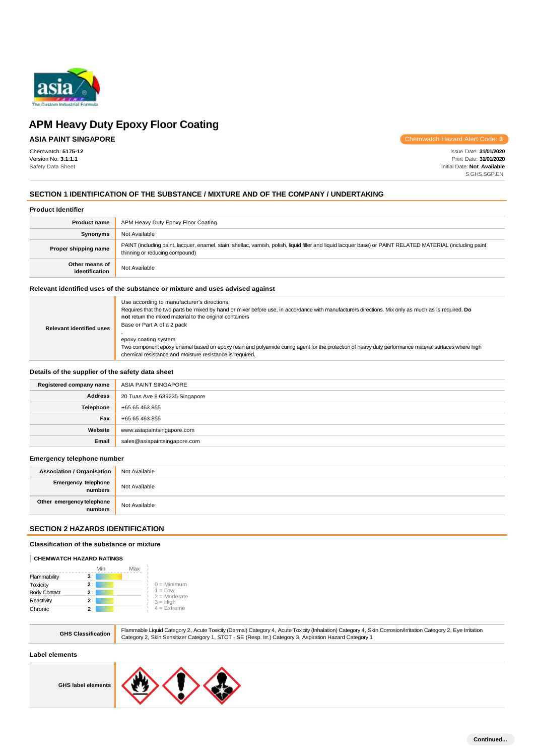

## **ASIA PAINT SINGAPORE**

Chemwatch: **5175-12** Version No: **3.1.1.1** Safety Data Sheet

Chemwatch Hazard Alert Code: **3**

Issue Date: **31/01/2020** Print Date: **31/01/2020** Initial Date: **Not Available** S.GHS.SGP.EN

## **SECTION 1 IDENTIFICATION OF THE SUBSTANCE / MIXTURE AND OF THE COMPANY / UNDERTAKING**

#### **Product Identifier**

| <b>Product name</b>              | APM Heavy Duty Epoxy Floor Coating                                                                                                                                                            |
|----------------------------------|-----------------------------------------------------------------------------------------------------------------------------------------------------------------------------------------------|
| Synonyms                         | Not Available                                                                                                                                                                                 |
| Proper shipping name             | PAINT (including paint, lacquer, enamel, stain, shellac, varnish, polish, liquid filler and liquid lacquer base) or PAINT RELATED MATERIAL (including paint<br>thinning or reducing compound) |
| Other means of<br>identification | Not Available                                                                                                                                                                                 |

#### **Relevant identified uses of the substance or mixture and uses advised against**

| Use according to manufacturer's directions.<br>Requires that the two parts be mixed by hand or mixer before use, in accordance with manufacturers directions. Mix only as much as is required. Do<br>not return the mixed material to the original containers<br>Base or Part A of a 2 pack<br>epoxy coating system |
|---------------------------------------------------------------------------------------------------------------------------------------------------------------------------------------------------------------------------------------------------------------------------------------------------------------------|
| Two component epoxy enamel based on epoxy resin and polyamide curing agent for the protection of heavy duty performance material surfaces where high<br>chemical resistance and moisture resistance is required.                                                                                                    |
|                                                                                                                                                                                                                                                                                                                     |

#### **Details of the supplier of the safety data sheet**

| Registered company name | ASIA PAINT SINGAPORE           |
|-------------------------|--------------------------------|
| <b>Address</b>          | 20 Tuas Ave 8 639235 Singapore |
| Telephone               | +65 65 463 955                 |
| Fax                     | +65 65 463 855                 |
| Website                 | www.asiapaintsingapore.com     |
| Email                   | sales@asiapaintsingapore.com   |

#### **Emergency telephone number**

| <b>Association / Organisation</b>            | Not Available |
|----------------------------------------------|---------------|
| <b>Emergency telephone</b><br><b>numbers</b> | Not Available |
| Other emergency telephone<br>numbers         | Not Available |

### **SECTION 2 HAZARDS IDENTIFICATION**

## **Classification of the substance or mixture**

#### **CHEMWATCH HAZARD RATINGS**

|                     |   | Min | Max |                             |
|---------------------|---|-----|-----|-----------------------------|
| Flammability        | 3 |     |     |                             |
| Toxicity            | 2 |     |     | $0 =$ Minimum               |
| <b>Body Contact</b> | 2 |     |     | $1 = Low$<br>$2 =$ Moderate |
| Reactivity          | 2 |     |     | $3 = High$                  |
| Chronic             |   |     |     | $4 =$ Extreme               |

|  | una ulassi |
|--|------------|
|  |            |
|  |            |

**GHS Classification** Flammable Liquid Category 2, Acute Toxicity (Dermal) Category 4, Acute Toxicity (Inhalation) Category 4, Skin Corrosion/Irritation Category 2, Eye Irritation Category 2, Skin Sensitizer Category 1, STOT - SE (Resp. Irr.) Category 3, Aspiration Hazard Category 1

## **Label elements**



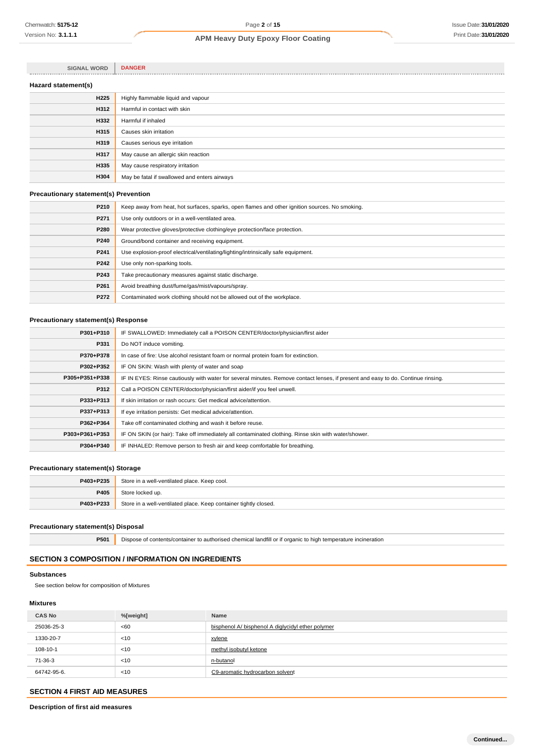| <b>SIGNAL WORD</b>  | <b>DANGER</b>                                |
|---------------------|----------------------------------------------|
| Hazard statement(s) |                                              |
| <b>H225</b>         | Highly flammable liquid and vapour           |
| H312                | Harmful in contact with skin                 |
| H332                | Harmful if inhaled                           |
| H315                | Causes skin irritation                       |
| H319                | Causes serious eye irritation                |
| H317                | May cause an allergic skin reaction          |
| H335                | May cause respiratory irritation             |
| H304                | May be fatal if swallowed and enters airways |

### **Precautionary statement(s) Prevention**

| P210 | Keep away from heat, hot surfaces, sparks, open flames and other ignition sources. No smoking. |  |  |
|------|------------------------------------------------------------------------------------------------|--|--|
| P271 | Use only outdoors or in a well-ventilated area.                                                |  |  |
| P280 | Wear protective gloves/protective clothing/eye protection/face protection.                     |  |  |
| P240 | Ground/bond container and receiving equipment.                                                 |  |  |
| P241 | Use explosion-proof electrical/ventilating/lighting/intrinsically safe equipment.              |  |  |
| P242 | Use only non-sparking tools.                                                                   |  |  |
| P243 | Take precautionary measures against static discharge.                                          |  |  |
| P261 | Avoid breathing dust/fume/gas/mist/vapours/spray.                                              |  |  |
| P272 | Contaminated work clothing should not be allowed out of the workplace.                         |  |  |
|      |                                                                                                |  |  |

## **Precautionary statement(s) Response**

| P301+P310      | IF SWALLOWED: Immediately call a POISON CENTER/doctor/physician/first aider                                                      |  |  |
|----------------|----------------------------------------------------------------------------------------------------------------------------------|--|--|
| P331           | Do NOT induce vomiting.                                                                                                          |  |  |
| P370+P378      | In case of fire: Use alcohol resistant foam or normal protein foam for extinction.                                               |  |  |
| P302+P352      | IF ON SKIN: Wash with plenty of water and soap                                                                                   |  |  |
| P305+P351+P338 | IF IN EYES: Rinse cautiously with water for several minutes. Remove contact lenses, if present and easy to do. Continue rinsing. |  |  |
| P312           | Call a POISON CENTER/doctor/physician/first aider/if you feel unwell.                                                            |  |  |
| P333+P313      | If skin irritation or rash occurs: Get medical advice/attention.                                                                 |  |  |
| P337+P313      | If eye irritation persists: Get medical advice/attention.                                                                        |  |  |
| P362+P364      | Take off contaminated clothing and wash it before reuse.                                                                         |  |  |
| P303+P361+P353 | IF ON SKIN (or hair): Take off immediately all contaminated clothing. Rinse skin with water/shower.                              |  |  |
| P304+P340      | IF INHALED: Remove person to fresh air and keep comfortable for breathing.                                                       |  |  |
|                |                                                                                                                                  |  |  |

## **Precautionary statement(s) Storage**

| P403+P235 | Store in a well-ventilated place. Keep cool.                     |
|-----------|------------------------------------------------------------------|
| P405      | Store locked up.                                                 |
| P403+P233 | Store in a well-ventilated place. Keep container tightly closed. |

## **Precautionary statement(s) Disposal**

**P501** Dispose of contents/container to authorised chemical landfill or if organic to high temperature incineration

## **SECTION 3 COMPOSITION / INFORMATION ON INGREDIENTS**

## **Substances**

See section below for composition of Mixtures

## **Mixtures**

| <b>CAS No</b> | %[weight] | <b>Name</b>                                       |
|---------------|-----------|---------------------------------------------------|
| 25036-25-3    | <60       | bisphenol A/ bisphenol A diglycidyl ether polymer |
| 1330-20-7     | < 10      | xylene                                            |
| 108-10-1      | < 10      | methyl isobutyl ketone                            |
| 71-36-3       | < 10      | n-butanol                                         |
| 64742-95-6.   | < 10      | C9-aromatic hydrocarbon solvent                   |

## **SECTION 4 FIRST AID MEASURES**

**Description of first aid measures**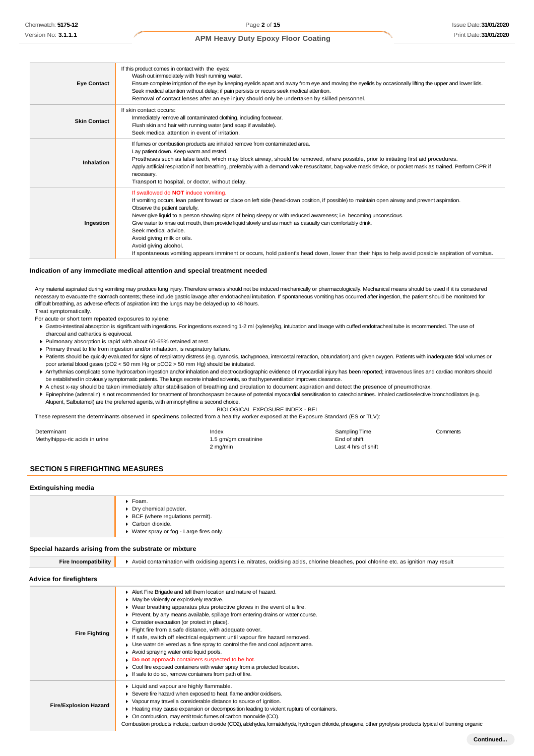| <b>Eye Contact</b>  | If this product comes in contact with the eyes:<br>Wash out immediately with fresh running water.<br>Ensure complete irrigation of the eye by keeping eyelids apart and away from eye and moving the eyelids by occasionally lifting the upper and lower lids.<br>Seek medical attention without delay; if pain persists or recurs seek medical attention.<br>Removal of contact lenses after an eye injury should only be undertaken by skilled personnel.                                                                                                                                                                                                                                     |
|---------------------|-------------------------------------------------------------------------------------------------------------------------------------------------------------------------------------------------------------------------------------------------------------------------------------------------------------------------------------------------------------------------------------------------------------------------------------------------------------------------------------------------------------------------------------------------------------------------------------------------------------------------------------------------------------------------------------------------|
| <b>Skin Contact</b> | If skin contact occurs:<br>Immediately remove all contaminated clothing, including footwear.<br>Flush skin and hair with running water (and soap if available).<br>Seek medical attention in event of irritation.                                                                                                                                                                                                                                                                                                                                                                                                                                                                               |
| <b>Inhalation</b>   | If fumes or combustion products are inhaled remove from contaminated area.<br>Lay patient down. Keep warm and rested.<br>Prostheses such as false teeth, which may block airway, should be removed, where possible, prior to initiating first aid procedures.<br>Apply artificial respiration if not breathing, preferably with a demand valve resuscitator, bag-valve mask device, or pocket mask as trained. Perform CPR if<br>necessary.<br>Transport to hospital, or doctor, without delay.                                                                                                                                                                                                 |
| Ingestion           | If swallowed do NOT induce vomiting.<br>If vomiting occurs, lean patient forward or place on left side (head-down position, if possible) to maintain open airway and prevent aspiration.<br>Observe the patient carefully.<br>Never give liquid to a person showing signs of being sleepy or with reduced awareness; i.e. becoming unconscious.<br>Give water to rinse out mouth, then provide liquid slowly and as much as casualty can comfortably drink.<br>Seek medical advice.<br>Avoid giving milk or oils.<br>Avoid giving alcohol.<br>If spontaneous vomiting appears imminent or occurs, hold patient's head down, lower than their hips to help avoid possible aspiration of vomitus. |

#### **Indication of any immediate medical attention and special treatment needed**

Any material aspirated during vomiting may produce lung injury. Therefore emesis should not be induced mechanically or pharmacologically. Mechanical means should be used if it is considered necessary to evacuate the stomach contents; these include gastric lavage after endotracheal intubation. If spontaneous vomiting has occurred after ingestion, the patient should be monitored for difficult breathing, as adverse effects of aspiration into the lungs may be delayed up to 48 hours. Treat symptomatically.

For acute or short term repeated exposures to xylene:

- Gastro-intestinal absorption is significant with ingestions. For ingestions exceeding 1-2 ml (xylene)/kg, intubation and lavage with cuffed endotracheal tube is recommended. The use of charcoal and cathartics is equivocal.
- Pulmonary absorption is rapid with about 60-65% retained at rest.
- Primary threat to life from ingestion and/or inhalation, is respiratory failure.
- Patients should be quickly evaluated for signs of respiratory distress (e.g. cyanosis, tachypnoea, intercostal retraction, obtundation) and given oxygen. Patients with inadequate tidal volumes or poor arterial blood gases (pO2 < 50 mm Hg or pCO2 > 50 mm Hg) should be intubated.
- ▶ Arrhythmias complicate some hydrocarbon ingestion and/or inhalation and electrocardiographic evidence of myocardial injury has been reported; intravenous lines and cardiac monitors should be established in obviously symptomatic patients. The lungs excrete inhaled solvents, so that hyperventilation improves clearance.
- A chest x-ray should be taken immediately after stabilisation of breathing and circulation to document aspiration and detect the presence of pneumothorax.
- Epinephrine (adrenalin) is not recommended for treatment of bronchospasm because of potential myocardial sensitisation to catecholamines. Inhaled cardioselective bronchodilators (e.g. Alupent, Salbutamol) are the preferred agents, with aminophylline a second choice.

BIOLOGICAL EXPOSURE INDEX - BEI

These represent the determinants observed in specimens collected from a healthy worker exposed at the Exposure Standard (ES or TLV):

| Determinant                    | Index                | Sampling Time       | Comments |
|--------------------------------|----------------------|---------------------|----------|
| Methylhippu-ric acids in urine | 1.5 gm/gm creatinine | End of shift        |          |
|                                | 2 mg/min             | Last 4 hrs of shift |          |

## **SECTION 5 FIREFIGHTING MEASURES**

#### **Extinguishing media**

| $\blacktriangleright$ Foam.              |
|------------------------------------------|
| Dry chemical powder.                     |
| ▶ BCF (where regulations permit).        |
| Carbon dioxide.                          |
| ▶ Water spray or fog - Large fires only. |
|                                          |

#### **Special hazards arising from the substrate or mixture**

| <b>Fire Incompatibility</b>    | Avoid contamination with oxidising agents i.e. nitrates, oxidising acids, chlorine bleaches, pool chlorine etc. as ignition may result                                                                                                                                                                                                                                                                                                                                                                                                                                                                                                                                                                                                                                                           |  |  |
|--------------------------------|--------------------------------------------------------------------------------------------------------------------------------------------------------------------------------------------------------------------------------------------------------------------------------------------------------------------------------------------------------------------------------------------------------------------------------------------------------------------------------------------------------------------------------------------------------------------------------------------------------------------------------------------------------------------------------------------------------------------------------------------------------------------------------------------------|--|--|
| <b>Advice for firefighters</b> |                                                                                                                                                                                                                                                                                                                                                                                                                                                                                                                                                                                                                                                                                                                                                                                                  |  |  |
| <b>Fire Fighting</b>           | Alert Fire Brigade and tell them location and nature of hazard.<br>• May be violently or explosively reactive.<br>▶ Wear breathing apparatus plus protective gloves in the event of a fire.<br>▶ Prevent, by any means available, spillage from entering drains or water course.<br>Consider evacuation (or protect in place).<br>Fight fire from a safe distance, with adequate cover.<br>If safe, switch off electrical equipment until vapour fire hazard removed.<br>• Use water delivered as a fine spray to control the fire and cool adjacent area.<br>Avoid spraying water onto liquid pools.<br>Do not approach containers suspected to be hot.<br>• Cool fire exposed containers with water spray from a protected location.<br>If safe to do so, remove containers from path of fire. |  |  |
| <b>Fire/Explosion Hazard</b>   | • Liquid and vapour are highly flammable.<br>Severe fire hazard when exposed to heat, flame and/or oxidisers.<br>▶ Vapour may travel a considerable distance to source of ignition.<br>• Heating may cause expansion or decomposition leading to violent rupture of containers.<br>• On combustion, may emit toxic fumes of carbon monoxide (CO).<br>Combustion products include, carbon dioxide (CO2), aldehydes, formaldehyde, hydrogen chloride, phosgene, other pyrolysis products typical of burning organic                                                                                                                                                                                                                                                                                |  |  |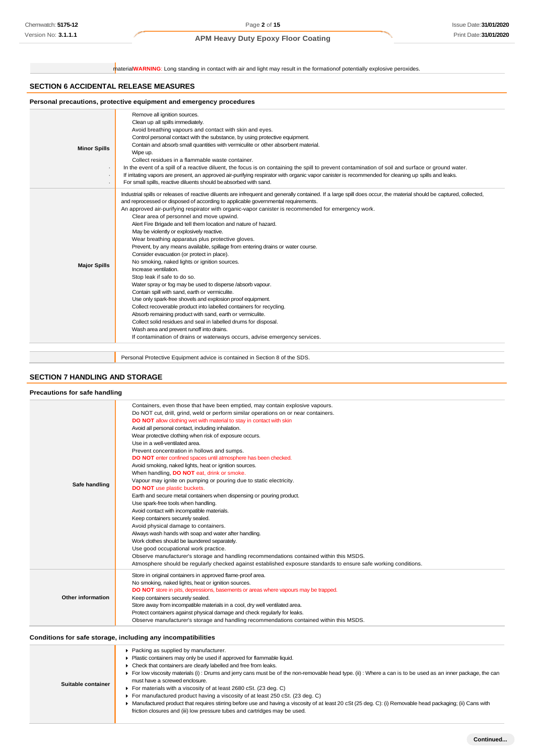material**WARNING**: Long standing in contact with air and light may result in the formationof potentially explosive peroxides.

## **SECTION 6 ACCIDENTAL RELEASE MEASURES**

| <b>Minor Spills</b> | Remove all ignition sources.<br>Clean up all spills immediately.<br>Avoid breathing vapours and contact with skin and eyes.<br>Control personal contact with the substance, by using protective equipment.<br>Contain and absorb small quantities with vermiculite or other absorbent material.<br>Wipe up.<br>Collect residues in a flammable waste container.<br>In the event of a spill of a reactive diluent, the focus is on containing the spill to prevent contamination of soil and surface or ground water.<br>If irritating vapors are present, an approved air-purifying respirator with organic vapor canister is recommended for cleaning up spills and leaks.<br>For small spills, reactive diluents should be absorbed with sand.                                                                                                                                                                                                                                                                                                                                                                                                                                                                                                                                                                                          |
|---------------------|-------------------------------------------------------------------------------------------------------------------------------------------------------------------------------------------------------------------------------------------------------------------------------------------------------------------------------------------------------------------------------------------------------------------------------------------------------------------------------------------------------------------------------------------------------------------------------------------------------------------------------------------------------------------------------------------------------------------------------------------------------------------------------------------------------------------------------------------------------------------------------------------------------------------------------------------------------------------------------------------------------------------------------------------------------------------------------------------------------------------------------------------------------------------------------------------------------------------------------------------------------------------------------------------------------------------------------------------|
| <b>Major Spills</b> | Industrial spills or releases of reactive diluents are infrequent and generally contained. If a large spill does occur, the material should be captured, collected,<br>and reprocessed or disposed of according to applicable governmental requirements.<br>An approved air-purifying respirator with organic-vapor canister is recommended for emergency work.<br>Clear area of personnel and move upwind.<br>Alert Fire Brigade and tell them location and nature of hazard.<br>May be violently or explosively reactive.<br>Wear breathing apparatus plus protective gloves.<br>Prevent, by any means available, spillage from entering drains or water course.<br>Consider evacuation (or protect in place).<br>No smoking, naked lights or ignition sources.<br>Increase ventilation.<br>Stop leak if safe to do so.<br>Water spray or fog may be used to disperse /absorb vapour.<br>Contain spill with sand, earth or vermiculite.<br>Use only spark-free shovels and explosion proof equipment.<br>Collect recoverable product into labelled containers for recycling.<br>Absorb remaining product with sand, earth or vermiculite.<br>Collect solid residues and seal in labelled drums for disposal.<br>Wash area and prevent runoff into drains.<br>If contamination of drains or waterways occurs, advise emergency services. |

Personal Protective Equipment advice is contained in Section 8 of the SDS.

## **SECTION 7 HANDLING AND STORAGE**

| Precautions for safe handling |                                                                                                                                                                                                                                                                                                                                                                                                                                                                                                                                                                                                                                                                                                                                                                                                                                                                                                                                                                                                                                                                                                                                                                                                                                                                                                                                        |
|-------------------------------|----------------------------------------------------------------------------------------------------------------------------------------------------------------------------------------------------------------------------------------------------------------------------------------------------------------------------------------------------------------------------------------------------------------------------------------------------------------------------------------------------------------------------------------------------------------------------------------------------------------------------------------------------------------------------------------------------------------------------------------------------------------------------------------------------------------------------------------------------------------------------------------------------------------------------------------------------------------------------------------------------------------------------------------------------------------------------------------------------------------------------------------------------------------------------------------------------------------------------------------------------------------------------------------------------------------------------------------|
| Safe handling                 | Containers, even those that have been emptied, may contain explosive vapours.<br>Do NOT cut, drill, grind, weld or perform similar operations on or near containers.<br>DO NOT allow clothing wet with material to stay in contact with skin<br>Avoid all personal contact, including inhalation.<br>Wear protective clothing when risk of exposure occurs.<br>Use in a well-ventilated area.<br>Prevent concentration in hollows and sumps.<br>DO NOT enter confined spaces until atmosphere has been checked.<br>Avoid smoking, naked lights, heat or ignition sources.<br>When handling, DO NOT eat, drink or smoke.<br>Vapour may ignite on pumping or pouring due to static electricity.<br>DO NOT use plastic buckets.<br>Earth and secure metal containers when dispensing or pouring product.<br>Use spark-free tools when handling.<br>Avoid contact with incompatible materials.<br>Keep containers securely sealed.<br>Avoid physical damage to containers.<br>Always wash hands with soap and water after handling.<br>Work clothes should be laundered separately.<br>Use good occupational work practice.<br>Observe manufacturer's storage and handling recommendations contained within this MSDS.<br>Atmosphere should be regularly checked against established exposure standards to ensure safe working conditions. |
| Other information             | Store in original containers in approved flame-proof area.<br>No smoking, naked lights, heat or ignition sources.<br>DO NOT store in pits, depressions, basements or areas where vapours may be trapped.<br>Keep containers securely sealed.<br>Store away from incompatible materials in a cool, dry well ventilated area.<br>Protect containers against physical damage and check regularly for leaks.<br>Observe manufacturer's storage and handling recommendations contained within this MSDS.                                                                                                                                                                                                                                                                                                                                                                                                                                                                                                                                                                                                                                                                                                                                                                                                                                    |

|  |  |  | Conditions for safe storage, including any incompatibilities |
|--|--|--|--------------------------------------------------------------|
|--|--|--|--------------------------------------------------------------|

| Suitable container | Packing as supplied by manufacturer.<br>Plastic containers may only be used if approved for flammable liquid.<br>• Check that containers are clearly labelled and free from leaks.<br>For low viscosity materials (i): Drums and jerry cans must be of the non-removable head type. (ii): Where a can is to be used as an inner package, the can<br>must have a screwed enclosure.<br>For materials with a viscosity of at least 2680 cSt. (23 deg. C)<br>For manufactured product having a viscosity of at least 250 cSt. (23 deg. C)<br>▶ Manufactured product that requires stirring before use and having a viscosity of at least 20 cSt (25 deg. C): (i) Removable head packaging; (ii) Cans with<br>friction closures and (iii) low pressure tubes and cartridges may be used. |
|--------------------|--------------------------------------------------------------------------------------------------------------------------------------------------------------------------------------------------------------------------------------------------------------------------------------------------------------------------------------------------------------------------------------------------------------------------------------------------------------------------------------------------------------------------------------------------------------------------------------------------------------------------------------------------------------------------------------------------------------------------------------------------------------------------------------|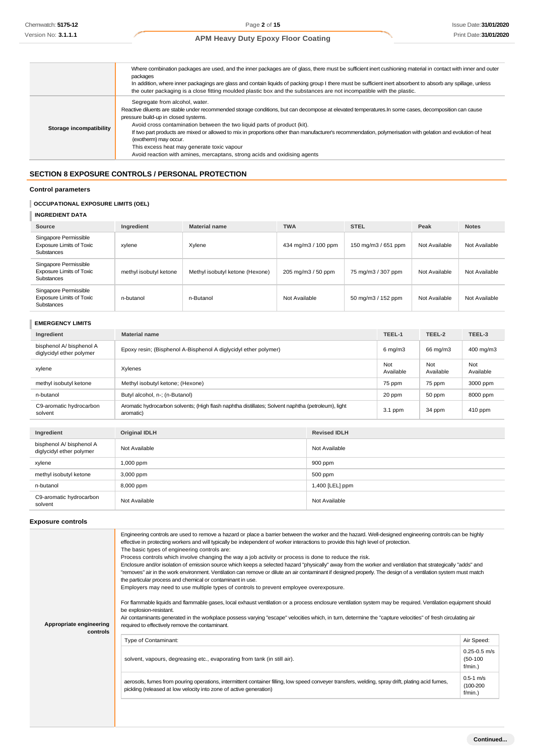|                         | Where combination packages are used, and the inner packages are of glass, there must be sufficient inert cushioning material in contact with inner and outer<br>packages<br>In addition, where inner packagings are glass and contain liquids of packing group I there must be sufficient inert absorbent to absorb any spillage, unless<br>the outer packaging is a close fitting moulded plastic box and the substances are not incompatible with the plastic.                                                                                                                                                                |
|-------------------------|---------------------------------------------------------------------------------------------------------------------------------------------------------------------------------------------------------------------------------------------------------------------------------------------------------------------------------------------------------------------------------------------------------------------------------------------------------------------------------------------------------------------------------------------------------------------------------------------------------------------------------|
| Storage incompatibility | Segregate from alcohol, water.<br>Reactive diluents are stable under recommended storage conditions, but can decompose at elevated temperatures. In some cases, decomposition can cause<br>pressure build-up in closed systems.<br>Avoid cross contamination between the two liquid parts of product (kit).<br>If two part products are mixed or allowed to mix in proportions other than manufacturer's recommendation, polymerisation with gelation and evolution of heat<br>(exotherm) may occur.<br>This excess heat may generate toxic vapour<br>Avoid reaction with amines, mercaptans, strong acids and oxidising agents |

## **SECTION 8 EXPOSURE CONTROLS / PERSONAL PROTECTION**

## **Control parameters**

## **OCCUPATIONAL EXPOSURE LIMITS (OEL)**

**INGREDIENT DATA**

| Source                                                                        | Ingredient             | <b>Material name</b>            | <b>TWA</b>          | <b>STEL</b>         | Peak          | <b>Notes</b>  |
|-------------------------------------------------------------------------------|------------------------|---------------------------------|---------------------|---------------------|---------------|---------------|
| Singapore Permissible<br><b>Exposure Limits of Toxic</b><br><b>Substances</b> | xylene                 | Xylene                          | 434 mg/m3 / 100 ppm | 150 mg/m3 / 651 ppm | Not Available | Not Available |
| Singapore Permissible<br><b>Exposure Limits of Toxic</b><br><b>Substances</b> | methyl isobutyl ketone | Methyl isobutyl ketone (Hexone) | 205 mg/m3 / 50 ppm  | 75 mg/m3 / 307 ppm  | Not Available | Not Available |
| Singapore Permissible<br><b>Exposure Limits of Toxic</b><br>Substances        | n-butanol              | n-Butanol                       | Not Available       | 50 mg/m3 / 152 ppm  | Not Available | Not Available |

## **EMERGENCY LIMITS**

| Ingredient                                           | <b>Material name</b>                                                                                            |                     | TEEL-1           | TEEL-2           | TEEL-3           |
|------------------------------------------------------|-----------------------------------------------------------------------------------------------------------------|---------------------|------------------|------------------|------------------|
| bisphenol A/ bisphenol A<br>diglycidyl ether polymer | Epoxy resin; (Bisphenol A-Bisphenol A diglycidyl ether polymer)                                                 |                     | $6$ mg/m $3$     | 66 mg/m3         | 400 mg/m3        |
| xylene                                               | Xylenes                                                                                                         |                     | Not<br>Available | Not<br>Available | Not<br>Available |
| methyl isobutyl ketone                               | Methyl isobutyl ketone; (Hexone)                                                                                |                     | 75 ppm           | 75 ppm           | 3000 ppm         |
| n-butanol                                            | Butyl alcohol, n-; (n-Butanol)                                                                                  |                     | 20 ppm           | 50 ppm           | 8000 ppm         |
| C9-aromatic hydrocarbon<br>solvent                   | Aromatic hydrocarbon solvents; (High flash naphtha distillates; Solvent naphtha (petroleum), light<br>aromatic) |                     | $3.1$ ppm        | 34 ppm           | 410 ppm          |
|                                                      |                                                                                                                 |                     |                  |                  |                  |
| Ingredient                                           | <b>Original IDLH</b>                                                                                            | <b>Revised IDLH</b> |                  |                  |                  |
| bisphenol A/ bisphenol A<br>diglycidyl ether polymer | Not Available<br>Not Available                                                                                  |                     |                  |                  |                  |
| xylene                                               | 900 ppm<br>1,000 ppm                                                                                            |                     |                  |                  |                  |
| methyl isobutyl ketone                               | 500 ppm<br>3,000 ppm                                                                                            |                     |                  |                  |                  |
| n-butanol                                            | 8,000 ppm                                                                                                       | 1,400 [LEL] ppm     |                  |                  |                  |
| C9-aromatic hydrocarbon<br>solvent                   | Not Available                                                                                                   | Not Available       |                  |                  |                  |

#### **Exposure controls**

| Appropriate engineering<br>controls | Engineering controls are used to remove a hazard or place a barrier between the worker and the hazard. Well-designed engineering controls can be highly<br>effective in protecting workers and will typically be independent of worker interactions to provide this high level of protection.<br>The basic types of engineering controls are:<br>Process controls which involve changing the way a job activity or process is done to reduce the risk.<br>Enclosure and/or isolation of emission source which keeps a selected hazard "physically" away from the worker and ventilation that strategically "adds" and<br>"removes" air in the work environment. Ventilation can remove or dilute an air contaminant if designed properly. The design of a ventilation system must match<br>the particular process and chemical or contaminant in use.<br>Employers may need to use multiple types of controls to prevent employee overexposure.<br>For flammable liquids and flammable gases, local exhaust ventilation or a process enclosure ventilation system may be required. Ventilation equipment should<br>be explosion-resistant.<br>Air contaminants generated in the workplace possess varying "escape" velocities which, in turn, determine the "capture velocities" of fresh circulating air<br>required to effectively remove the contaminant. |                                              |  |  |
|-------------------------------------|--------------------------------------------------------------------------------------------------------------------------------------------------------------------------------------------------------------------------------------------------------------------------------------------------------------------------------------------------------------------------------------------------------------------------------------------------------------------------------------------------------------------------------------------------------------------------------------------------------------------------------------------------------------------------------------------------------------------------------------------------------------------------------------------------------------------------------------------------------------------------------------------------------------------------------------------------------------------------------------------------------------------------------------------------------------------------------------------------------------------------------------------------------------------------------------------------------------------------------------------------------------------------------------------------------------------------------------------------------------|----------------------------------------------|--|--|
|                                     | Type of Contaminant:                                                                                                                                                                                                                                                                                                                                                                                                                                                                                                                                                                                                                                                                                                                                                                                                                                                                                                                                                                                                                                                                                                                                                                                                                                                                                                                                         | Air Speed:                                   |  |  |
|                                     | solvent, vapours, degreasing etc., evaporating from tank (in still air).                                                                                                                                                                                                                                                                                                                                                                                                                                                                                                                                                                                                                                                                                                                                                                                                                                                                                                                                                                                                                                                                                                                                                                                                                                                                                     | $0.25 - 0.5$ m/s<br>$(50-100)$<br>f/min.)    |  |  |
|                                     | aerosols, fumes from pouring operations, intermittent container filling, low speed conveyer transfers, welding, spray drift, plating acid fumes,<br>pickling (released at low velocity into zone of active generation)                                                                                                                                                                                                                                                                                                                                                                                                                                                                                                                                                                                                                                                                                                                                                                                                                                                                                                                                                                                                                                                                                                                                       | $0.5 - 1$ m/s<br>$(100 - 200)$<br>$f/min.$ ) |  |  |
|                                     |                                                                                                                                                                                                                                                                                                                                                                                                                                                                                                                                                                                                                                                                                                                                                                                                                                                                                                                                                                                                                                                                                                                                                                                                                                                                                                                                                              |                                              |  |  |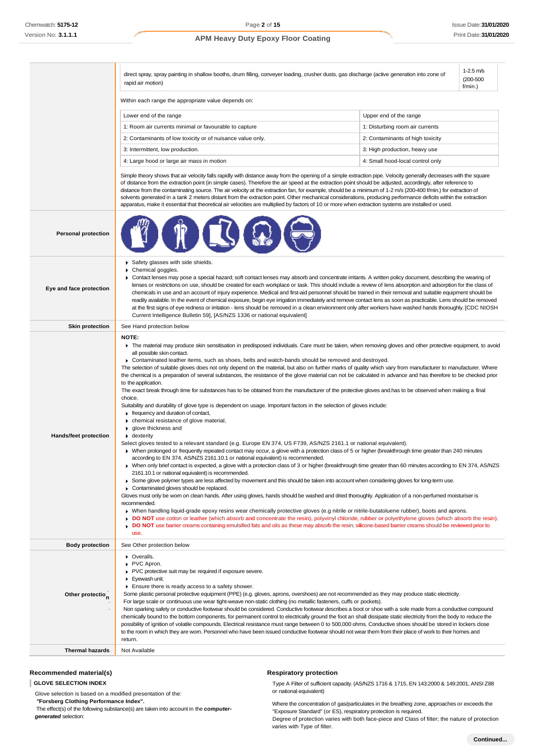|                            | $1 - 2.5$ m/s<br>direct spray, spray painting in shallow booths, drum filling, conveyer loading, crusher dusts, gas discharge (active generation into zone of<br>$(200 - 500)$<br>rapid air motion)<br>$f/min.$ )                                                                                                                                                                                                                                                                                                                                                                                                                                                                                                                                                                                                                                                                                                                                                                                                                                                                                                                                                                                                                                                                                                                                                                                                                                                                                                                                                                                                                                                                                                                                                                                                                                                                                                                                                                                                                                                                                                                                                                                                                                                                                                                                                                                                                                                                                                                             |                                  |  |
|----------------------------|-----------------------------------------------------------------------------------------------------------------------------------------------------------------------------------------------------------------------------------------------------------------------------------------------------------------------------------------------------------------------------------------------------------------------------------------------------------------------------------------------------------------------------------------------------------------------------------------------------------------------------------------------------------------------------------------------------------------------------------------------------------------------------------------------------------------------------------------------------------------------------------------------------------------------------------------------------------------------------------------------------------------------------------------------------------------------------------------------------------------------------------------------------------------------------------------------------------------------------------------------------------------------------------------------------------------------------------------------------------------------------------------------------------------------------------------------------------------------------------------------------------------------------------------------------------------------------------------------------------------------------------------------------------------------------------------------------------------------------------------------------------------------------------------------------------------------------------------------------------------------------------------------------------------------------------------------------------------------------------------------------------------------------------------------------------------------------------------------------------------------------------------------------------------------------------------------------------------------------------------------------------------------------------------------------------------------------------------------------------------------------------------------------------------------------------------------------------------------------------------------------------------------------------------------|----------------------------------|--|
|                            | Within each range the appropriate value depends on:                                                                                                                                                                                                                                                                                                                                                                                                                                                                                                                                                                                                                                                                                                                                                                                                                                                                                                                                                                                                                                                                                                                                                                                                                                                                                                                                                                                                                                                                                                                                                                                                                                                                                                                                                                                                                                                                                                                                                                                                                                                                                                                                                                                                                                                                                                                                                                                                                                                                                           |                                  |  |
|                            | Lower end of the range                                                                                                                                                                                                                                                                                                                                                                                                                                                                                                                                                                                                                                                                                                                                                                                                                                                                                                                                                                                                                                                                                                                                                                                                                                                                                                                                                                                                                                                                                                                                                                                                                                                                                                                                                                                                                                                                                                                                                                                                                                                                                                                                                                                                                                                                                                                                                                                                                                                                                                                        | Upper end of the range           |  |
|                            | 1: Room air currents minimal or favourable to capture                                                                                                                                                                                                                                                                                                                                                                                                                                                                                                                                                                                                                                                                                                                                                                                                                                                                                                                                                                                                                                                                                                                                                                                                                                                                                                                                                                                                                                                                                                                                                                                                                                                                                                                                                                                                                                                                                                                                                                                                                                                                                                                                                                                                                                                                                                                                                                                                                                                                                         | 1: Disturbing room air currents  |  |
|                            | 2: Contaminants of low toxicity or of nuisance value only.                                                                                                                                                                                                                                                                                                                                                                                                                                                                                                                                                                                                                                                                                                                                                                                                                                                                                                                                                                                                                                                                                                                                                                                                                                                                                                                                                                                                                                                                                                                                                                                                                                                                                                                                                                                                                                                                                                                                                                                                                                                                                                                                                                                                                                                                                                                                                                                                                                                                                    | 2: Contaminants of high toxicity |  |
|                            | 3: Intermittent, low production.                                                                                                                                                                                                                                                                                                                                                                                                                                                                                                                                                                                                                                                                                                                                                                                                                                                                                                                                                                                                                                                                                                                                                                                                                                                                                                                                                                                                                                                                                                                                                                                                                                                                                                                                                                                                                                                                                                                                                                                                                                                                                                                                                                                                                                                                                                                                                                                                                                                                                                              | 3: High production, heavy use    |  |
|                            | 4: Large hood or large air mass in motion                                                                                                                                                                                                                                                                                                                                                                                                                                                                                                                                                                                                                                                                                                                                                                                                                                                                                                                                                                                                                                                                                                                                                                                                                                                                                                                                                                                                                                                                                                                                                                                                                                                                                                                                                                                                                                                                                                                                                                                                                                                                                                                                                                                                                                                                                                                                                                                                                                                                                                     | 4: Small hood-local control only |  |
|                            | Simple theory shows that air velocity falls rapidly with distance away from the opening of a simple extraction pipe. Velocity generally decreases with the square<br>of distance from the extraction point (in simple cases). Therefore the air speed at the extraction point should be adjusted, accordingly, after reference to<br>distance from the contaminating source. The air velocity at the extraction fan, for example, should be a minimum of 1-2 m/s (200-400 f/min.) for extraction of<br>solvents generated in a tank 2 meters distant from the extraction point. Other mechanical considerations, producing performance deficits within the extraction<br>apparatus, make it essential that theoretical air velocities are multiplied by factors of 10 or more when extraction systems are installed or used.                                                                                                                                                                                                                                                                                                                                                                                                                                                                                                                                                                                                                                                                                                                                                                                                                                                                                                                                                                                                                                                                                                                                                                                                                                                                                                                                                                                                                                                                                                                                                                                                                                                                                                                  |                                  |  |
| <b>Personal protection</b> |                                                                                                                                                                                                                                                                                                                                                                                                                                                                                                                                                                                                                                                                                                                                                                                                                                                                                                                                                                                                                                                                                                                                                                                                                                                                                                                                                                                                                                                                                                                                                                                                                                                                                                                                                                                                                                                                                                                                                                                                                                                                                                                                                                                                                                                                                                                                                                                                                                                                                                                                               |                                  |  |
| Eye and face protection    | Safety glasses with side shields.<br>Chemical goggles.<br>▶ Contact lenses may pose a special hazard; soft contact lenses may absorb and concentrate irritants. A written policy document, describing the wearing of<br>lenses or restrictions on use, should be created for each workplace or task. This should include a review of lens absorption and adsorption for the class of<br>chemicals in use and an account of injury experience. Medical and first-aid personnel should be trained in their removal and suitable equipment should be<br>readily available. In the event of chemical exposure, begin eye irrigation immediately and remove contact lens as soon as practicable. Lens should be removed<br>at the first signs of eye redness or irritation - lens should be removed in a clean environment only after workers have washed hands thoroughly. [CDC NIOSH<br>Current Intelligence Bulletin 59], [AS/NZS 1336 or national equivalent]                                                                                                                                                                                                                                                                                                                                                                                                                                                                                                                                                                                                                                                                                                                                                                                                                                                                                                                                                                                                                                                                                                                                                                                                                                                                                                                                                                                                                                                                                                                                                                                  |                                  |  |
| <b>Skin protection</b>     | See Hand protection below                                                                                                                                                                                                                                                                                                                                                                                                                                                                                                                                                                                                                                                                                                                                                                                                                                                                                                                                                                                                                                                                                                                                                                                                                                                                                                                                                                                                                                                                                                                                                                                                                                                                                                                                                                                                                                                                                                                                                                                                                                                                                                                                                                                                                                                                                                                                                                                                                                                                                                                     |                                  |  |
| Hands/feet protection      | <b>NOTE:</b><br>The material may produce skin sensitisation in predisposed individuals. Care must be taken, when removing gloves and other protective equipment, to avoid<br>all possible skin contact.<br>▶ Contaminated leather items, such as shoes, belts and watch-bands should be removed and destroyed.<br>The selection of suitable gloves does not only depend on the material, but also on further marks of quality which vary from manufacturer to manufacturer. Where<br>the chemical is a preparation of several substances, the resistance of the glove material can not be calculated in advance and has therefore to be checked prior<br>to the application.<br>The exact break through time for substances has to be obtained from the manufacturer of the protective gloves and has to be observed when making a final<br>choice.<br>Suitability and durability of glove type is dependent on usage. Important factors in the selection of gloves include:<br>Firequency and duration of contact,<br>• chemical resistance of glove material,<br>▶ glove thickness and<br>$\bullet$ dexterity<br>Select gloves tested to a relevant standard (e.g. Europe EN 374, US F739, AS/NZS 2161.1 or national equivalent).<br>> When prolonged or frequently repeated contact may occur, a glove with a protection class of 5 or higher (breakthrough time greater than 240 minutes<br>according to EN 374, AS/NZS 2161.10.1 or national equivalent) is recommended.<br>▶ When only brief contact is expected, a glove with a protection class of 3 or higher (breakthrough time greater than 60 minutes according to EN 374, AS/NZS<br>2161.10.1 or national equivalent) is recommended.<br>▶ Some glove polymer types are less affected by movement and this should be taken into account when considering gloves for long-term use.<br>• Contaminated gloves should be replaced.<br>Gloves must only be wom on clean hands. After using gloves, hands should be washed and dried thoroughly. Application of a non-perfumed moisturiser is<br>recommended.<br>• When handling liquid-grade epoxy resins wear chemically protective gloves (e.g nitrile or nitrile-butatoluene rubber), boots and aprons.<br>. DO NOT use cotton or leather (which absorb and concentrate the resin), polyvinyl chloride, rubber or polyethylene gloves (which absorb the resin).<br>DO NOT use barrier creams containing emulsified fats and oils as these may absorb the resin; silicone-based barrier creams should be reviewed prior to<br>use. |                                  |  |
| <b>Body protection</b>     | See Other protection below                                                                                                                                                                                                                                                                                                                                                                                                                                                                                                                                                                                                                                                                                                                                                                                                                                                                                                                                                                                                                                                                                                                                                                                                                                                                                                                                                                                                                                                                                                                                                                                                                                                                                                                                                                                                                                                                                                                                                                                                                                                                                                                                                                                                                                                                                                                                                                                                                                                                                                                    |                                  |  |
| Other protection           | • Overalls.<br>PVC Apron.<br>PVC protective suit may be required if exposure severe.<br>Eyewash unit.<br>Ensure there is ready access to a safety shower.<br>Some plastic personal protective equipment (PPE) (e.g. gloves, aprons, overshoes) are not recommended as they may produce static electricity.<br>For large scale or continuous use wear tight-weave non-static clothing (no metallic fasteners, cuffs or pockets).<br>Non sparking safety or conductive footwear should be considered. Conductive footwear describes a boot or shoe with a sole made from a conductive compound<br>chemically bound to the bottom components, for permanent control to electrically ground the foot an shall dissipate static electricity from the body to reduce the<br>possibility of ignition of volatile compounds. Electrical resistance must range between 0 to 500,000 ohms. Conductive shoes should be stored in lockers close<br>to the room in which they are worn. Personnel who have been issued conductive footwear should not wear them from their place of work to their homes and<br>return.                                                                                                                                                                                                                                                                                                                                                                                                                                                                                                                                                                                                                                                                                                                                                                                                                                                                                                                                                                                                                                                                                                                                                                                                                                                                                                                                                                                                                                     |                                  |  |
| <b>Thermal hazards</b>     | Not Available                                                                                                                                                                                                                                                                                                                                                                                                                                                                                                                                                                                                                                                                                                                                                                                                                                                                                                                                                                                                                                                                                                                                                                                                                                                                                                                                                                                                                                                                                                                                                                                                                                                                                                                                                                                                                                                                                                                                                                                                                                                                                                                                                                                                                                                                                                                                                                                                                                                                                                                                 |                                  |  |
|                            |                                                                                                                                                                                                                                                                                                                                                                                                                                                                                                                                                                                                                                                                                                                                                                                                                                                                                                                                                                                                                                                                                                                                                                                                                                                                                                                                                                                                                                                                                                                                                                                                                                                                                                                                                                                                                                                                                                                                                                                                                                                                                                                                                                                                                                                                                                                                                                                                                                                                                                                                               |                                  |  |

## **Recommended material(s)**

**GLOVE SELECTION INDEX**

Glove selection is based on a modified presentation of the:

*"***Forsberg Clothing Performance Index".**

The effect(s) of the following substance(s) are taken into account in the *computergenerated* selection:

## **Respiratory protection**

Type A Filter of sufficient capacity. (AS/NZS 1716 & 1715, EN 143:2000 & 149:2001, ANSI Z88 or national equivalent)

Where the concentration of gas/particulates in the breathing zone, approaches or exceeds the "Exposure Standard" (or ES), respiratory protection is required.

Degree of protection varies with both face-piece and Class of filter; the nature of protection varies with Type of filter.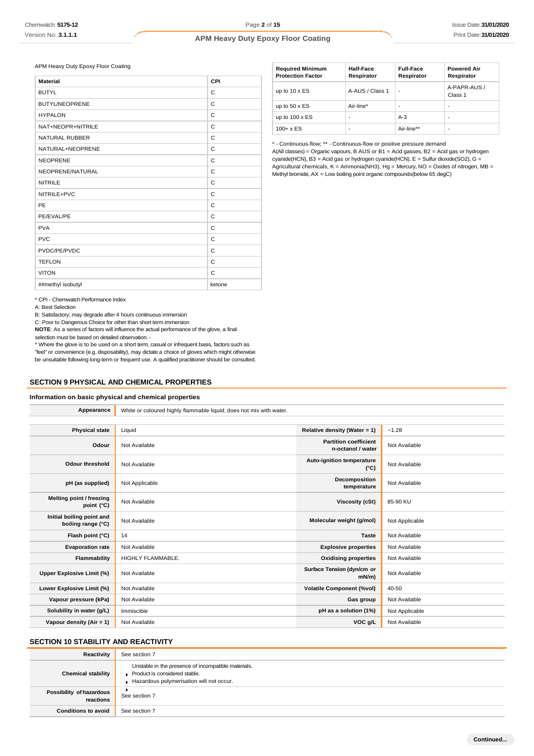APM Heavy Duty Epoxy Floor Coating

| <b>Material</b>       | CPI          |
|-----------------------|--------------|
| <b>BUTYL</b>          | C            |
| <b>BUTYL/NEOPRENE</b> | C            |
| <b>HYPALON</b>        | C            |
| NAT+NEOPR+NITRILE     | C            |
| <b>NATURAL RUBBER</b> | $\mathsf{C}$ |
| NATURAL+NEOPRENE      | C            |
| <b>NEOPRENE</b>       | C            |
| NEOPRENE/NATURAL      | C            |
| <b>NITRILE</b>        | C            |
| NITRILE+PVC           | C            |
| PE                    | C            |
| PE/EVAL/PE            | C            |
| <b>PVA</b>            | C            |
| <b>PVC</b>            | C            |
| PVDC/PE/PVDC          | C            |
| <b>TEFLON</b>         | C            |
| <b>VITON</b>          | C            |
| ##methyl isobutyl     | ketone       |

| <b>Required Minimum</b><br><b>Protection Factor</b> | <b>Half-Face</b><br>Respirator | <b>Full-Face</b><br>Respirator | <b>Powered Air</b><br>Respirator |
|-----------------------------------------------------|--------------------------------|--------------------------------|----------------------------------|
| up to $10 \times ES$                                | A-AUS / Class 1                |                                | A-PAPR-AUS /<br>Class 1          |
| up to $50 \times ES$                                | Air-line*                      |                                | -                                |
| up to $100 \times ES$                               |                                | $A-3$                          |                                  |
| $100 + x ES$                                        |                                | Air-line**                     | -                                |

\* - Continuous-flow; \*\* - Continuous-flow or positive pressure demand

A(All classes) = Organic vapours, B AUS or B1 = Acid gasses, B2 = Acid gas or hydrogen cyanide(HCN), B3 = Acid gas or hydrogen cyanide(HCN), E = Sulfur dioxide(SO2), G = Agricultural chemicals,  $K =$  Ammonia(NH3), Hg = Mercury, NO = Oxides of nitrogen, MB = Methyl bromide,  $AX = Low$  boiling point organic compounds(below 65 degC)

\* CPI - Chemwatch Performance Index

A: Best Selection

B: Satisfactory; may degrade after 4 hours continuous immersion

C: Poor to Dangerous Choice for other than short term immersion

**NOTE**: As a series of factors will influence the actual performance of the glove, a final selection must be based on detailed observation. -

\* Where the glove is to be used on a short term, casual or infrequent basis, factors such as "feel" or convenience (e.g. disposability), may dictate a choice of gloves which might otherwise be unsuitable following long-term or frequent use. A qualified practitioner should be consulted.

## **SECTION 9 PHYSICAL AND CHEMICAL PROPERTIES**

#### **Information on basic physical and chemical properties**

| Appearance                                      | White or coloured highly flammable liquid; does not mix with water. |                                                   |                |
|-------------------------------------------------|---------------------------------------------------------------------|---------------------------------------------------|----------------|
|                                                 |                                                                     |                                                   |                |
| <b>Physical state</b>                           | Liquid                                                              | Relative density (Water = 1)                      | $-1.28$        |
| Odour                                           | Not Available                                                       | <b>Partition coefficient</b><br>n-octanol / water | Not Available  |
| <b>Odour threshold</b>                          | Not Available                                                       | Auto-ignition temperature<br>$(^{\circ}C)$        | Not Available  |
| pH (as supplied)                                | Not Applicable                                                      | Decomposition<br>temperature                      | Not Available  |
| Melting point / freezing<br>point (°C)          | Not Available                                                       | Viscosity (cSt)                                   | 85-90 KU       |
| Initial boiling point and<br>boiling range (°C) | Not Available                                                       | Molecular weight (g/mol)                          | Not Applicable |
| Flash point (°C)                                | 14                                                                  | <b>Taste</b>                                      | Not Available  |
| <b>Evaporation rate</b>                         | Not Available                                                       | <b>Explosive properties</b>                       | Not Available  |
| Flammability                                    | HIGHLY FLAMMABLE.                                                   | <b>Oxidising properties</b>                       | Not Available  |
| Upper Explosive Limit (%)                       | Not Available                                                       | Surface Tension (dyn/cm or<br>$mN/m$ )            | Not Available  |
| Lower Explosive Limit (%)                       | Not Available                                                       | <b>Volatile Component (%vol)</b>                  | 40-50          |
| Vapour pressure (kPa)                           | Not Available                                                       | Gas group                                         | Not Available  |
| Solubility in water (g/L)                       | Immiscible                                                          | pH as a solution (1%)                             | Not Applicable |
| Vapour density (Air = 1)                        | Not Available                                                       | VOC g/L                                           | Not Available  |

## **SECTION 10 STABILITY AND REACTIVITY**

| Reactivity                            | See section 7                                                                                                                    |
|---------------------------------------|----------------------------------------------------------------------------------------------------------------------------------|
| <b>Chemical stability</b>             | Unstable in the presence of incompatible materials.<br>Product is considered stable.<br>Hazardous polymerisation will not occur. |
| Possibility of hazardous<br>reactions | See section 7                                                                                                                    |
| <b>Conditions to avoid</b>            | See section 7                                                                                                                    |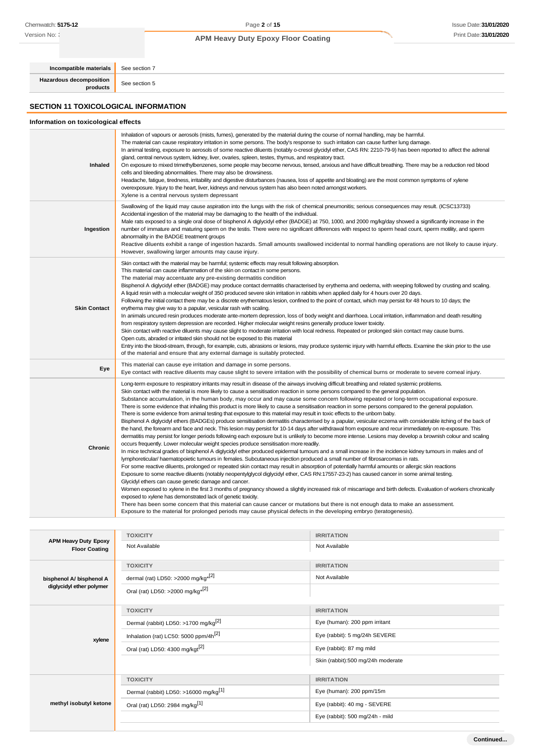Version No: **:** 

## **APM Heavy Duty Epoxy Floor Coating**

**Hazardous decomposition**

**Incompatible materials** See section 7

**products** See section 5

## **SECTION 11 TOXICOLOGICAL INFORMATION**

## **Information on toxicological effects**

| Inhaled             | Inhalation of vapours or aerosols (mists, fumes), generated by the material during the course of normal handling, may be harmful.<br>The material can cause respiratory irritation in some persons. The body's response to such irritation can cause further lung damage.<br>In animal testing, exposure to aerosols of some reactive diluents (notably o-cresol glycidyl ether, CAS RN: 2210-79-9) has been reported to affect the adrenal<br>gland, central nervous system, kidney, liver, ovaries, spleen, testes, thymus, and respiratory tract.<br>On exposure to mixed trimethylbenzenes, some people may become nervous, tensed, anxious and have difficult breathing. There may be a reduction red blood<br>cells and bleeding abnormalities. There may also be drowsiness.<br>Headache, fatigue, tiredness, irritability and digestive disturbances (nausea, loss of appetite and bloating) are the most common symptoms of xylene<br>overexposure. Injury to the heart, liver, kidneys and nervous system has also been noted amongst workers.<br>Xylene is a central nervous system depressant                                                                                                                                                                                                                                                                                                                                                                                                                                                                                                                                                                                                                                                                                                                                                                                                                                                                                                                                                                                                                                                                                                                                                                                                                                                                                                                                                       |
|---------------------|-----------------------------------------------------------------------------------------------------------------------------------------------------------------------------------------------------------------------------------------------------------------------------------------------------------------------------------------------------------------------------------------------------------------------------------------------------------------------------------------------------------------------------------------------------------------------------------------------------------------------------------------------------------------------------------------------------------------------------------------------------------------------------------------------------------------------------------------------------------------------------------------------------------------------------------------------------------------------------------------------------------------------------------------------------------------------------------------------------------------------------------------------------------------------------------------------------------------------------------------------------------------------------------------------------------------------------------------------------------------------------------------------------------------------------------------------------------------------------------------------------------------------------------------------------------------------------------------------------------------------------------------------------------------------------------------------------------------------------------------------------------------------------------------------------------------------------------------------------------------------------------------------------------------------------------------------------------------------------------------------------------------------------------------------------------------------------------------------------------------------------------------------------------------------------------------------------------------------------------------------------------------------------------------------------------------------------------------------------------------------------------------------------------------------------------------------------------------|
| Ingestion           | Swallowing of the liquid may cause aspiration into the lungs with the risk of chemical pneumonitis; serious consequences may result. (ICSC13733)<br>Accidental ingestion of the material may be damaging to the health of the individual.<br>Male rats exposed to a single oral dose of bisphenol A diglycidyl ether (BADGE) at 750, 1000, and 2000 mg/kg/day showed a significantly increase in the<br>number of immature and maturing sperm on the testis. There were no significant differences with respect to sperm head count, sperm motility, and sperm<br>abnormality in the BADGE treatment groups<br>Reactive diluents exhibit a range of ingestion hazards. Small amounts swallowed incidental to normal handling operations are not likely to cause injury.<br>However, swallowing larger amounts may cause injury.                                                                                                                                                                                                                                                                                                                                                                                                                                                                                                                                                                                                                                                                                                                                                                                                                                                                                                                                                                                                                                                                                                                                                                                                                                                                                                                                                                                                                                                                                                                                                                                                                                 |
| <b>Skin Contact</b> | Skin contact with the material may be harmful; systemic effects may result following absorption.<br>This material can cause inflammation of the skin on contact in some persons.<br>The material may accentuate any pre-existing dermatitis condition<br>Bisphenol A diglycidyl ether (BADGE) may produce contact dermatitis characterised by erythema and oedema, with weeping followed by crusting and scaling.<br>A liquid resin with a molecular weight of 350 produced severe skin irritation in rabbits when applied daily for 4 hours over 20 days.<br>Following the initial contact there may be a discrete erythematous lesion, confined to the point of contact, which may persist for 48 hours to 10 days; the<br>erythema may give way to a papular, vesicular rash with scaling.<br>In animals uncured resin produces moderate ante-mortem depression, loss of body weight and diarrhoea. Local irritation, inflammation and death resulting<br>from respiratory system depression are recorded. Higher molecular weight resins generally produce lower toxicity.<br>Skin contact with reactive diluents may cause slight to moderate irritation with local redness. Repeated or prolonged skin contact may cause burns.<br>Open cuts, abraded or irritated skin should not be exposed to this material<br>Entry into the blood-stream, through, for example, cuts, abrasions or lesions, may produce systemic injury with harmful effects. Examine the skin prior to the use<br>of the material and ensure that any external damage is suitably protected.                                                                                                                                                                                                                                                                                                                                                                                                                                                                                                                                                                                                                                                                                                                                                                                                                                                                                        |
| Eye                 | This material can cause eye irritation and damage in some persons.<br>Eye contact with reactive diluents may cause slight to severe irritation with the possibility of chemical burns or moderate to severe corneal injury.                                                                                                                                                                                                                                                                                                                                                                                                                                                                                                                                                                                                                                                                                                                                                                                                                                                                                                                                                                                                                                                                                                                                                                                                                                                                                                                                                                                                                                                                                                                                                                                                                                                                                                                                                                                                                                                                                                                                                                                                                                                                                                                                                                                                                                     |
| <b>Chronic</b>      | Long-term exposure to respiratory irritants may result in disease of the airways involving difficult breathing and related systemic problems.<br>Skin contact with the material is more likely to cause a sensitisation reaction in some persons compared to the general population.<br>Substance accumulation, in the human body, may occur and may cause some concern following repeated or long-term occupational exposure.<br>There is some evidence that inhaling this product is more likely to cause a sensitisation reaction in some persons compared to the general population.<br>There is some evidence from animal testing that exposure to this material may result in toxic effects to the unborn baby.<br>Bisphenol A diglycidyl ethers (BADGEs) produce sensitisation dermatitis characterised by a papular, vesicular eczema with considerable itching of the back of<br>the hand, the forearm and face and neck. This lesion may persist for 10-14 days after withdrawal from exposure and recur immediately on re-exposure. This<br>dermatitis may persist for longer periods following each exposure but is unlikely to become more intense. Lesions may develop a brownish colour and scaling<br>occurs frequently. Lower molecular weight species produce sensitisation more readily.<br>In mice technical grades of bisphenol A diglycidyl ether produced epidermal tumours and a small increase in the incidence kidney tumours in males and of<br>lymphoreticular/haematopoietic tumours in females. Subcutaneous injection produced a small number of fibrosarcomas in rats.<br>For some reactive diluents, prolonged or repeated skin contact may result in absorption of potentially harmful amounts or allergic skin reactions<br>Exposure to some reactive diluents (notably neopentylglycol diglycidyl ether, CAS RN:17557-23-2) has caused cancer in some animal testing.<br>Glycidyl ethers can cause genetic damage and cancer.<br>Women exposed to xylene in the first 3 months of pregnancy showed a slightly increased risk of miscarriage and birth defects. Evaluation of workers chronically<br>exposed to xylene has demonstrated lack of genetic toxicity.<br>There has been some concern that this material can cause cancer or mutations but there is not enough data to make an assessment.<br>Exposure to the material for prolonged periods may cause physical defects in the developing embryo (teratogenesis). |

| <b>APM Heavy Duty Epoxy</b><br><b>Floor Coating</b> | <b>TOXICITY</b>                                   | <b>IRRITATION</b>                 |
|-----------------------------------------------------|---------------------------------------------------|-----------------------------------|
|                                                     | Not Available                                     | Not Available                     |
|                                                     | <b>TOXICITY</b>                                   | <b>IRRITATION</b>                 |
| bisphenol A/ bisphenol A                            | dermal (rat) LD50: >2000 mg/kg <sup>*[2]</sup>    | Not Available                     |
| diglycidyl ether polymer                            | Oral (rat) LD50: >2000 mg/kg <sup>*[2]</sup>      |                                   |
|                                                     | <b>TOXICITY</b>                                   | <b>IRRITATION</b>                 |
|                                                     | Dermal (rabbit) LD50: >1700 mg/kg <sup>[2]</sup>  | Eye (human): 200 ppm irritant     |
| xylene                                              | Inhalation (rat) LC50: 5000 ppm/4h <sup>[2]</sup> | Eye (rabbit): 5 mg/24h SEVERE     |
|                                                     | Oral (rat) LD50: 4300 mg/kgt <sup>[2]</sup>       | Eye (rabbit): 87 mg mild          |
|                                                     |                                                   | Skin (rabbit):500 mg/24h moderate |
|                                                     | <b>TOXICITY</b>                                   | <b>IRRITATION</b>                 |
| methyl isobutyl ketone                              | Dermal (rabbit) LD50: >16000 mg/kg <sup>[1]</sup> | Eye (human): 200 ppm/15m          |
|                                                     | Oral (rat) LD50: 2984 mg/kg <sup>[1]</sup>        | Eye (rabbit): 40 mg - SEVERE      |
|                                                     |                                                   | Eye (rabbit): 500 mg/24h - mild   |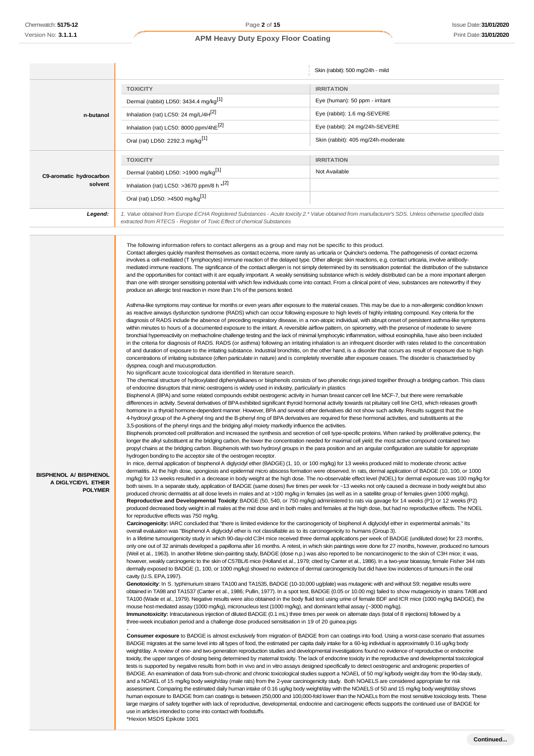|                         |                                                                                                                                                                                                                                 | Skin (rabbit): 500 mg/24h - mild   |
|-------------------------|---------------------------------------------------------------------------------------------------------------------------------------------------------------------------------------------------------------------------------|------------------------------------|
|                         | <b>TOXICITY</b>                                                                                                                                                                                                                 | <b>IRRITATION</b>                  |
|                         | Dermal (rabbit) LD50: 3434.4 mg/kg <sup>[1]</sup>                                                                                                                                                                               | Eye (human): 50 ppm - irritant     |
| n-butanol               | Inhalation (rat) LC50: 24 mg/L/4H <sup>[2]</sup>                                                                                                                                                                                | Eye (rabbit): 1.6 mg-SEVERE        |
|                         | Inhalation (rat) LC50: 8000 ppm/4hE <sup>[2]</sup>                                                                                                                                                                              | Eye (rabbit): 24 mg/24h-SEVERE     |
|                         | Oral (rat) LD50: 2292.3 mg/kg <sup>[1]</sup>                                                                                                                                                                                    | Skin (rabbit): 405 mg/24h-moderate |
|                         | <b>TOXICITY</b>                                                                                                                                                                                                                 | <b>IRRITATION</b>                  |
| C9-aromatic hydrocarbon | Dermal (rabbit) LD50: >1900 mg/kg <sup>[1]</sup>                                                                                                                                                                                | Not Available                      |
| solvent                 | Inhalation (rat) LC50: >3670 ppm/8 h $*$ <sup>[2]</sup>                                                                                                                                                                         |                                    |
|                         | Oral (rat) LD50: >4500 mg/kg <sup>[1]</sup>                                                                                                                                                                                     |                                    |
| Legend:                 | 1. Value obtained from Europe ECHA Registered Substances - Acute toxicity 2.* Value obtained from manufacturer's SDS. Unless otherwise specified data<br>extracted from RTECS - Register of Toxic Effect of chemical Substances |                                    |

**BISPHENOL A/ BISPHENOL A DIGLYCIDYL ETHER POLYMER** The following information refers to contact allergens as a group and may not be specific to this product. Contact allergies quickly manifest themselves as contact eczema, more rarely as urticaria or Quincke's oedema. The pathogenesis of contact eczema involves a cell-mediated (T lymphocytes) immune reaction of the delayed type. Other allergic skin reactions, e.g. contact urticaria, involve antibodymediated immune reactions. The significance of the contact allergen is not simply determined by its sensitisation potential: the distribution of the substance and the opportunities for contact with it are equally important. A weakly sensitising substance which is widely distributed can be a more important allergen than one with stronger sensitising potential with which few individuals come into contact. From a clinical point of view, substances are noteworthy if they produce an allergic test reaction in more than 1% of the persons tested. Asthma-like symptoms may continue for months or even years after exposure to the material ceases. This may be due to a non-allergenic condition known as reactive airways dysfunction syndrome (RADS) which can occur following exposure to high levels of highly irritating compound. Key criteria for the diagnosis of RADS include the absence of preceding respiratory disease, in a non-atopic individual, with abrupt onset of persistent asthma-like symptoms within minutes to hours of a documented exposure to the irritant. A reversible airflow pattern, on spirometry, with the presence of moderate to severe bronchial hyperreactivity on methacholine challenge testing and the lack of minimal lymphocytic inflammation, without eosinophilia, have also been included in the criteria for diagnosis of RADS. RADS (or asthma) following an irritating inhalation is an infrequent disorder with rates related to the concentration of and duration of exposure to the irritating substance. Industrial bronchitis, on the other hand, is a disorder that occurs as result of exposure due to high concentrations of irritating substance (often particulate in nature) and is completely reversible after exposure ceases. The disorder is characterised by dyspnea, cough and mucusproduction. No significant acute toxicological data identified in literature search. The chemical structure of hydroxylated diphenylalkanes or bisphenols consists of two phenolic rings joined together through a bridging carbon. This class of endocrine disruptors that mimic oestrogens is widely used in industry, particularly in plastics Bisphenol A (BPA) and some related compounds exhibit oestrogenic activity in human breast cancer cell line MCF-7, but there were remarkable differences in activity. Several derivatives of BPA exhibited significant thyroid hormonal activity towards rat pituitary cell line GH3, which releases growth hormone in a thyroid hormone-dependent manner. However, BPA and several other derivatives did not show such activity. Results suggest that the 4-hydroxyl group of the A-phenyl ring and the B-phenyl ring of BPA derivatives are required for these hormonal activities, and substituents at the 3,5-positions of the phenyl rings and the bridging alkyl moiety markedly influence the activities. Bisphenols promoted cell proliferation and increased the synthesis and secretion of cell type-specific proteins. When ranked by proliferative potency, the longer the alkyl substituent at the bridging carbon, the lower the concentration needed for maximal cell yield; the most active compound contained two propyl chains at the bridging carbon. Bisphenols with two hydroxyl groups in the para position and an angular configuration are suitable for appropriate hydrogen bonding to the acceptor site of the oestrogen receptor. In mice, dermal application of bisphenol A diglycidyl ether (BADGE) (1, 10, or 100 mg/kg) for 13 weeks produced mild to moderate chronic active dermatitis. At the high dose, spongiosis and epidermal micro abscess formation were observed. In rats, dermal application of BADGE (10, 100, or 1000 mg/kg) for 13 weeks resulted in a decrease in body weight at the high dose. The no-observable effect level (NOEL) for dermal exposure was 100 mg/kg for both sexes. In a separate study, application of BADGE (same doses) five times per week for ~13 weeks not only caused a decrease in body weight but also produced chronic dermatitis at all dose levels in males and at >100 mg/kg in females (as well as in a satellite group of females given 1000 mg/kg). **Reproductive and Developmental Toxicity**: BADGE (50, 540, or 750 mg/kg) administered to rats via gavage for 14 weeks (P1) or 12 weeks (P2) produced decreased body weight in all males at the mid dose and in both males and females at the high dose, but had no reproductive effects. The NOEL for reproductive effects was 750 mg/kg. **Carcinogenicity:** IARC concluded that "there is limited evidence for the carcinogenicity of bisphenol A diglycidyl ether in experimental animals." Its overall evaluation was "Bisphenol A diglycidyl ether is not classifiable as to its carcinogenicity to humans (Group 3). In a lifetime tumourigenicity study in which 90-day-old C3H mice received three dermal applications per week of BADGE (undiluted dose) for 23 months, only one out of 32 animals developed a papilloma after 16 months. A retest, in which skin paintings were done for 27 months, however, produced no tumours (Weil et al., 1963). In another lifetime skin-painting study, BADGE (dose n.p.) was also reported to be noncarcinogenic to the skin of C3H mice; it was, however, weakly carcinogenic to the skin of C57BL/6 mice (Holland et al., 1979; cited by Canter et al., 1986). In a two-year bioassay, female Fisher 344 rats dermally exposed to BADGE (1, 100, or 1000 mg/kg) showed no evidence of dermal carcinogenicity but did have low incidences of tumours in the oral cavity (U.S. EPA,1997). **Genotoxicity**: In S. typhimurium strains TA100 and TA1535, BADGE (10-10,000 ug/plate) was mutagenic with and without S9; negative results were obtained in TA98 and TA1537 (Canter et al., 1986; Pullin, 1977). In a spot test, BADGE (0.05 or 10.00 mg) failed to show mutagenicity in strains TA98 and TA100 (Wade et al., 1979). Negative results were also obtained in the body fluid test using urine of female BDF and ICR mice (1000 mg/kg BADGE), the mouse host-mediated assay (1000 mg/kg), micronucleus test (1000 mg/kg), and dominant lethal assay (~3000 mg/kg). **Immunotoxicity:** Intracutaneous injection of diluted BADGE (0.1 mL) three times per week on alternate days (total of 8 injections) followed by a three-week incubation period and a challenge dose produced sensitisation in 19 of 20 guinea pigs - **Consumer exposure** to BADGE is almost exclusively from migration of BADGE from can coatings into food. Using a worst-case scenario that assumes BADGE migrates at the same level into all types of food, the estimated per capita daily intake for a 60-kg individual is approximately 0.16 ug/kg body weight/day. A review of one- and two-generation reproduction studies and developmental investigations found no evidence of reproductive or endocrine toxicity, the upper ranges of dosing being determined by maternal toxicity. The lack of endocrine toxicity in the reproductive and developmental toxicological tests is supported by negative results from both in vivo and in vitro assays designed specifically to detect oestrogenic and androgenic properties of

BADGE. An examination of data from sub-chronic and chronic toxicological studies support a NOAEL of 50 mg/ kg/body weight day from the 90-day study, and a NOAEL of 15 mg/kg body weigh/day (male rats) from the 2-year carcinogenicity study. Both NOAELS are considered appropriate for risk assessment. Comparing the estimated daily human intake of 0.16 ug/kg body weight/day with the NOAELS of 50 and 15 mg/kg body weight/day shows human exposure to BADGE from can coatings is between 250,000 and 100,000-fold lower than the NOAELs from the most sensitive toxicology tests. These large margins of safety together with lack of reproductive, developmental, endocrine and carcinogenic effects supports the continued use of BADGE for use in articles intended to come into contact with foodstuffs.

\*Hexion MSDS Epikote 1001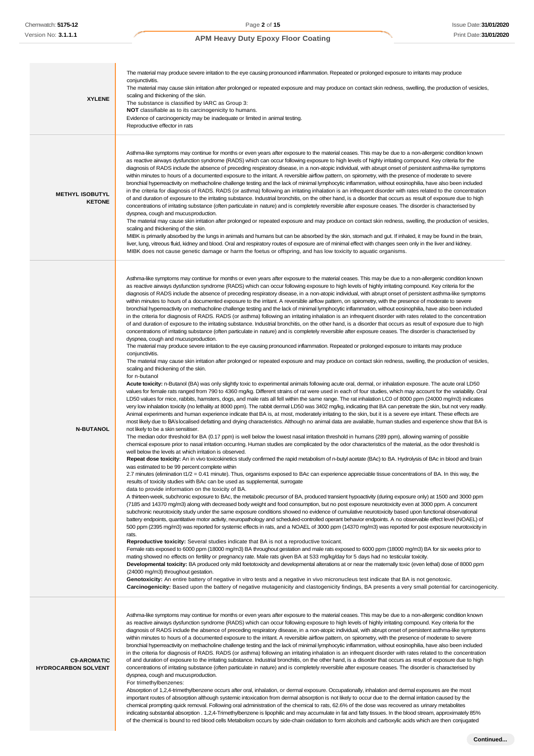| <b>XYLENE</b>                                    | The material may produce severe irritation to the eye causing pronounced inflammation. Repeated or prolonged exposure to irritants may produce<br>conjunctivitis.<br>The material may cause skin irritation after prolonged or repeated exposure and may produce on contact skin redness, swelling, the production of vesicles,<br>scaling and thickening of the skin.<br>The substance is classified by IARC as Group 3:<br>NOT classifiable as to its carcinogenicity to humans.<br>Evidence of carcinogenicity may be inadequate or limited in animal testing.<br>Reproductive effector in rats                                                                                                                                                                                                                                                                                                                                                                                                                                                                                                                                                                                                                                                                                                                                                                                                                                                                                                                                                                                                                                                                                                                                                                                                                                                                                                                                                                                                                                                                                                                                                                                                                                                                                                                                                                                                                                                                                                                                                                                                                                                                                                                                                                                                                                                                                                                                                                                                                                                                                                                                                                                                                                                                                                                                                                                                                                                                                                                                                                                                                                                                                                                                                                                                                                                                                                                                                                                                                                                                                                                                                                                                                                                                                                                                                                                                                                                                                                                                                                                                                                                                                                                                                                                                                                                                                                                                                                                                                                                                                                                                                                                                                                                                                                                                                                |
|--------------------------------------------------|-------------------------------------------------------------------------------------------------------------------------------------------------------------------------------------------------------------------------------------------------------------------------------------------------------------------------------------------------------------------------------------------------------------------------------------------------------------------------------------------------------------------------------------------------------------------------------------------------------------------------------------------------------------------------------------------------------------------------------------------------------------------------------------------------------------------------------------------------------------------------------------------------------------------------------------------------------------------------------------------------------------------------------------------------------------------------------------------------------------------------------------------------------------------------------------------------------------------------------------------------------------------------------------------------------------------------------------------------------------------------------------------------------------------------------------------------------------------------------------------------------------------------------------------------------------------------------------------------------------------------------------------------------------------------------------------------------------------------------------------------------------------------------------------------------------------------------------------------------------------------------------------------------------------------------------------------------------------------------------------------------------------------------------------------------------------------------------------------------------------------------------------------------------------------------------------------------------------------------------------------------------------------------------------------------------------------------------------------------------------------------------------------------------------------------------------------------------------------------------------------------------------------------------------------------------------------------------------------------------------------------------------------------------------------------------------------------------------------------------------------------------------------------------------------------------------------------------------------------------------------------------------------------------------------------------------------------------------------------------------------------------------------------------------------------------------------------------------------------------------------------------------------------------------------------------------------------------------------------------------------------------------------------------------------------------------------------------------------------------------------------------------------------------------------------------------------------------------------------------------------------------------------------------------------------------------------------------------------------------------------------------------------------------------------------------------------------------------------------------------------------------------------------------------------------------------------------------------------------------------------------------------------------------------------------------------------------------------------------------------------------------------------------------------------------------------------------------------------------------------------------------------------------------------------------------------------------------------------------------------------------------------------------------------------------------------------------------------------------------------------------------------------------------------------------------------------------------------------------------------------------------------------------------------------------------------------------------------------------------------------------------------------------------------------------------------------------------------------------------------------------------------------------------------------------------------------------------------------------------------------------------------------------------------------------------------------------------------------------------------------------------------------------------------------------------------------------------------------------------------------------------------------------------------------------------------------------------------------------------------------------------------------------------------------------------------------------------------------------------------|
| <b>METHYL ISOBUTYL</b><br><b>KETONE</b>          | Asthma-like symptoms may continue for months or even years after exposure to the material ceases. This may be due to a non-allergenic condition known<br>as reactive airways dysfunction syndrome (RADS) which can occur following exposure to high levels of highly irritating compound. Key criteria for the<br>diagnosis of RADS include the absence of preceding respiratory disease, in a non-atopic individual, with abrupt onset of persistent asthma-like symptoms<br>within minutes to hours of a documented exposure to the irritant. A reversible airflow pattern, on spirometry, with the presence of moderate to severe<br>bronchial hyperreactivity on methacholine challenge testing and the lack of minimal lymphocytic inflammation, without eosinophilia, have also been included<br>in the criteria for diagnosis of RADS. RADS (or asthma) following an irritating inhalation is an infrequent disorder with rates related to the concentration<br>of and duration of exposure to the irritating substance. Industrial bronchitis, on the other hand, is a disorder that occurs as result of exposure due to high<br>concentrations of irritating substance (often particulate in nature) and is completely reversible after exposure ceases. The disorder is characterised by<br>dyspnea, cough and mucus production.<br>The material may cause skin irritation after prolonged or repeated exposure and may produce on contact skin redness, swelling, the production of vesicles,<br>scaling and thickening of the skin.<br>MIBK is primarily absorbed by the lungs in animals and humans but can be absorbed by the skin, stomach and gut. If inhaled, it may be found in the brain,<br>liver, lung, vitreous fluid, kidney and blood. Oral and respiratory routes of exposure are of minimal effect with changes seen only in the liver and kidney.<br>MIBK does not cause genetic damage or harm the foetus or offspring, and has low toxicity to aquatic organisms.                                                                                                                                                                                                                                                                                                                                                                                                                                                                                                                                                                                                                                                                                                                                                                                                                                                                                                                                                                                                                                                                                                                                                                                                                                                                                                                                                                                                                                                                                                                                                                                                                                                                                                                                                                                                                                                                                                                                                                                                                                                                                                                                                                                                                                                                                                                                                                                                                                                                                                                                                                                                                                                                                                                                                                                                                                                                                                                                                                                                                                                                                                                                                                                                                                                                                                                                                                    |
| <b>N-BUTANOL</b>                                 | Asthma-like symptoms may continue for months or even years after exposure to the material ceases. This may be due to a non-allergenic condition known<br>as reactive airways dysfunction syndrome (RADS) which can occur following exposure to high levels of highly irritating compound. Key criteria for the<br>diagnosis of RADS include the absence of preceding respiratory disease, in a non-atopic individual, with abrupt onset of persistent asthma-like symptoms<br>within minutes to hours of a documented exposure to the irritant. A reversible airflow pattern, on spirometry, with the presence of moderate to severe<br>bronchial hyperreactivity on methacholine challenge testing and the lack of minimal lymphocytic inflammation, without eosinophilia, have also been included<br>in the criteria for diagnosis of RADS. RADS (or asthma) following an irritating inhalation is an infrequent disorder with rates related to the concentration<br>of and duration of exposure to the irritating substance. Industrial bronchitis, on the other hand, is a disorder that occurs as result of exposure due to high<br>concentrations of irritating substance (often particulate in nature) and is completely reversible after exposure ceases. The disorder is characterised by<br>dyspnea, cough and mucus production.<br>The material may produce severe irritation to the eye causing pronounced inflammation. Repeated or prolonged exposure to irritants may produce<br>conjunctivitis.<br>The material may cause skin irritation after prolonged or repeated exposure and may produce on contact skin redness, swelling, the production of vesicles,<br>scaling and thickening of the skin.<br>for n-butanol<br>Acute toxicity: n-Butanol (BA) was only slightly toxic to experimental animals following acute oral, dermal, or inhalation exposure. The acute oral LD50<br>values for female rats ranged from 790 to 4360 mg/kg. Different strains of rat were used in each of four studies, which may account for the variability. Oral<br>LD50 values for mice, rabbits, hamsters, dogs, and male rats all fell within the same range. The rat inhalation LC0 of 8000 ppm (24000 mg/m3) indicates<br>very low inhalation toxicity (no lethality at 8000 ppm). The rabbit dermal LD50 was 3402 mg/kg, indicating that BA can penetrate the skin, but not very readily.<br>Animal experiments and human experience indicate that BA is, at most, moderately irritating to the skin, but it is a severe eye irritant. These effects are<br>most likely due to BA's localised defatting and drying characteristics. Although no animal data are available, human studies and experience show that BA is<br>not likely to be a skin sensitiser.<br>The median odor threshold for BA (0.17 ppm) is well below the lowest nasal irritation threshold in humans (289 ppm), allowing warning of possible<br>chemical exposure prior to nasal irritation occurring. Human studies are complicated by the odor characteristics of the material, as the odor threshold is<br>well below the levels at which irritation is observed.<br>Repeat dose toxicity: An in vivo toxicokinetics study confirmed the rapid metabolism of n-butyl acetate (BAc) to BA. Hydrolysis of BAc in blood and brain<br>was estimated to be 99 percent complete within<br>2.7 minutes (elimination t1/2 = 0.41 minute). Thus, organisms exposed to BAc can experience appreciable tissue concentrations of BA. In this way, the<br>results of toxicity studies with BAc can be used as supplemental, surrogate<br>data to provide information on the toxicity of BA.<br>A thirteen-week, subchronic exposure to BAc, the metabolic precursor of BA, produced transient hypoactivity (during exposure only) at 1500 and 3000 ppm<br>(7185 and 14370 mg/m3) along with decreased body weight and food consumption, but no post exposure neurotoxicity even at 3000 ppm. A concurrent<br>subchronic neurotoxicity study under the same exposure conditions showed no evidence of cumulative neurotoxicity based upon functional observational<br>battery endpoints, quantitative motor activity, neuropathology and scheduled-controlled operant behavior endpoints. A no observable effect level (NOAEL) of<br>500 ppm (2395 mg/m3) was reported for systemic effects in rats, and a NOAEL of 3000 ppm (14370 mg/m3) was reported for post exposure neurotoxicity in<br>rats.<br>Reproductive toxicity: Several studies indicate that BA is not a reproductive toxicant.<br>Female rats exposed to 6000 ppm (18000 mg/m3) BA throughout gestation and male rats exposed to 6000 ppm (18000 mg/m3) BA for six weeks prior to<br>mating showed no effects on fertility or pregnancy rate. Male rats given BA at 533 mg/kg/day for 5 days had no testicular toxicity.<br>Developmental toxicity: BA produced only mild foetotoxicity and developmental alterations at or near the matemally toxic (even lethal) dose of 8000 ppm<br>(24000 mg/m3) throughout gestation.<br>Genotoxicity: An entire battery of negative in vitro tests and a negative in vivo micronucleus test indicate that BA is not genotoxic.<br>Carcinogenicity: Based upon the battery of negative mutagenicity and clastogenicity findings, BA presents a very small potential for carcinogenicity. |
| <b>C9-AROMATIC</b><br><b>HYDROCARBON SOLVENT</b> | Asthma-like symptoms may continue for months or even years after exposure to the material ceases. This may be due to a non-allergenic condition known<br>as reactive airways dysfunction syndrome (RADS) which can occur following exposure to high levels of highly irritating compound. Key criteria for the<br>diagnosis of RADS include the absence of preceding respiratory disease, in a non-atopic individual, with abrupt onset of persistent asthma-like symptoms<br>within minutes to hours of a documented exposure to the irritant. A reversible airflow pattern, on spirometry, with the presence of moderate to severe<br>bronchial hyperreactivity on methacholine challenge testing and the lack of minimal lymphocytic inflammation, without eosinophilia, have also been included<br>in the criteria for diagnosis of RADS. RADS (or asthma) following an irritating inhalation is an infrequent disorder with rates related to the concentration<br>of and duration of exposure to the irritating substance. Industrial bronchitis, on the other hand, is a disorder that occurs as result of exposure due to high<br>concentrations of irritating substance (often particulate in nature) and is completely reversible after exposure ceases. The disorder is characterised by<br>dyspnea, cough and mucus production.<br>For trimethylbenzenes:<br>Absorption of 1,2,4-trimethylbenzene occurs after oral, inhalation, or dermal exposure. Occupationally, inhalation and dermal exposures are the most<br>important routes of absorption although systemic intoxication from dermal absorption is not likely to occur due to the dermal irritation caused by the<br>chemical prompting quick removal. Following oral administration of the chemical to rats, 62.6% of the dose was recovered as urinary metabolites<br>indicating substantial absorption . 1,2,4-Trimethylbenzene is lipophilic and may accumulate in fat and fatty tissues. In the blood stream, approximately 85%                                                                                                                                                                                                                                                                                                                                                                                                                                                                                                                                                                                                                                                                                                                                                                                                                                                                                                                                                                                                                                                                                                                                                                                                                                                                                                                                                                                                                                                                                                                                                                                                                                                                                                                                                                                                                                                                                                                                                                                                                                                                                                                                                                                                                                                                                                                                                                                                                                                                                                                                                                                                                                                                                                                                                                                                                                                                                                                                                                                                                                                                                                                                                                                                                                                                                                                                                         |

of the chemical is bound to red blood cells Metabolism occurs by side-chain oxidation to form alcohols and carboxylic acids which are then conjugated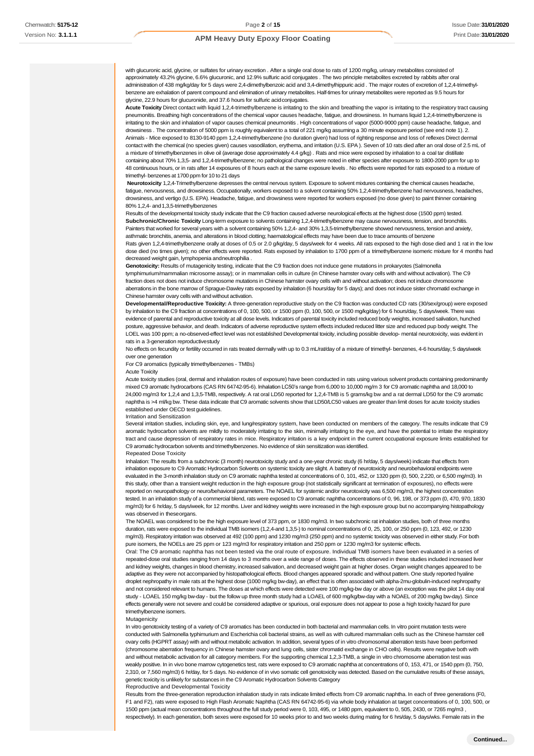with glucuronic acid, glycine, or sulfates for urinary excretion . After a single oral dose to rats of 1200 mg/kg, urinary metabolites consisted of approximately 43.2% glycine, 6.6% glucuronic, and 12.9% sulfuric acid conjugates . The two principle metabolites excreted by rabbits after oral administration of 438 mg/kg/day for 5 days were 2,4-dimethylbenzoic acid and 3,4-dimethylhippuric acid . The major routes of excretion of 1,2,4-trimethylbenzene are exhalation of parent compound and elimination of urinary metabolites. Half-times for urinary metabolites were reported as 9.5 hours for glycine, 22.9 hours for glucuronide, and 37.6 hours for sulfuric acidconjugates.

**Acute Toxicity** Direct contact with liquid 1,2,4-trimethylbenzene is irritating to the skin and breathing the vapor is irritating to the respiratory tract causing pneumonitis. Breathing high concentrations of the chemical vapor causes headache, fatigue, and drowsiness. In humans liquid 1,2,4-trimethylbenzene is irritating to the skin and inhalation of vapor causes chemical pneumonitis . High concentrations of vapor (5000-9000 ppm) cause headache, fatigue, and drowsiness . The concentration of 5000 ppm is roughly equivalent to a total of 221 mg/kg assuming a 30 minute exposure period (see end note 1). 2. Animals - Mice exposed to 8130-9140 ppm 1,2,4-trimethylbenzene (no duration given) had loss of righting response and loss of reflexes Direct dermal contact with the chemical (no species given) causes vasodilation, erythema, and irritation (U.S. EPA ). Seven of 10 rats died after an oral dose of 2.5 mL of a mixture of trimethylbenzenes in olive oil (average dose approximately 4.4 g/kg) . Rats and mice were exposed by inhalation to a coal tar distillate containing about 70% 1,3,5- and 1,2,4-trimethylbenzene; no pathological changes were noted in either species after exposure to 1800-2000 ppm for up to 48 continuous hours, or in rats after 14 exposures of 8 hours each at the same exposure levels . No effects were reported for rats exposed to a mixture of trimethyl- benzenes at 1700 ppm for 10 to 21 days

**Neurotoxicity** 1,2,4-Trimethylbenzene depresses the central nervous system. Exposure to solvent mixtures containing the chemical causes headache, fatigue, nervousness, and drowsiness. Occupationally, workers exposed to a solvent containing 50% 1,2,4-trimethylbenzene had nervousness, headaches, drowsiness, and vertigo (U.S. EPA). Headache, fatigue, and drowsiness were reported for workers exposed (no dose given) to paint thinner containing 80% 1,2,4- and 1,3,5-trimethylbenzenes

Results of the developmental toxicity study indicate that the C9 fraction caused adverse neurological effects at the highest dose (1500 ppm) tested. Subchronic/Chronic Toxicity Long-term exposure to solvents containing 1,2,4-trimethylbenzene may cause nervousness, tension, and bronchitis. Painters that worked for several years with a solvent containing 50% 1,2,4- and 30% 1,3,5-trimethylbenzene showed nervousness, tension and anxiety, asthmatic bronchitis, anemia, and alterations in blood clotting; haematological effects may have been due to trace amounts of benzene

Rats given 1,2,4-trimethylbenzene orally at doses of 0.5 or 2.0 g/kg/day, 5 days/week for 4 weeks. All rats exposed to the high dose died and 1 rat in the low dose died (no times given); no other effects were reported. Rats exposed by inhalation to 1700 ppm of a trimethylbenzene isomeric mixture for 4 months had decreased weight gain, lymphopenia andneutrophilia .

Genotoxicity: Results of mutagenicity testing, indicate that the C9 fraction does not induce gene mutations in prokaryotes (Salmonella tymphimurium/mammalian microsome assay); or in mammalian cells in culture (in Chinese hamster ovary cells with and without activation). The C9 fraction does not does not induce chromosome mutations in Chinese hamster ovary cells with and without activation; does not induce chromosome aberrations in the bone marrow of Sprague-Dawley rats exposed by inhalation (6 hours/day for 5 days); and does not induce sister chromatid exchange in Chinese hamster ovary cells with and without activation.

**Developmental/Reproductive Toxicity:** A three-generation reproductive study on the C9 fraction was conducted CD rats (30/sex/group) were exposed by inhalation to the C9 fraction at concentrations of 0, 100, 500, or 1500 ppm (0, 100, 500, or 1500 mg/kg/day) for 6 hours/day, 5 days/week. There was evidence of parental and reproductive toxicity at all dose levels. Indicators of parental toxicity included reduced body weights, increased salivation, hunched posture, aggressive behavior, and death. Indicators of adverse reproductive system effects included reduced litter size and reduced pup body weight. The LOEL was 100 ppm; a no-observed-effect level was not established Developmental toxicity, including possible develop- mental neurotoxicity, was evident in rats in a 3-generation reproductive study

No effects on fecundity or fertility occurred in rats treated dermally with up to 0.3 mL/rat/day of a mixture of trimethyl- benzenes, 4-6 hours/day, 5 days/week over one generation

For C9 aromatics (typically trimethylbenzenes - TMBs)

Acute Toxicity

Acute toxicity studies (oral, dermal and inhalation routes of exposure) have been conducted in rats using various solvent products containing predominantly mixed C9 aromatic hydrocarbons (CAS RN 64742-95-6). Inhalation LC50's range from 6,000 to 10,000 mg/m 3 for C9 aromatic naphtha and 18,000 to 24,000 mg/m3 for 1,2,4 and 1,3,5-TMB, respectively. A rat oral LD50 reported for 1,2,4-TMB is 5 grams/kg bw and a rat dermal LD50 for the C9 aromatic naphtha is >4 ml/kg bw. These data indicate that C9 aromatic solvents show that LD50/LC50 values are greater than limit doses for acute toxicity studies established under OECD test guidelines.

#### Irritation and Sensitization

Several irritation studies, including skin, eye, and lung/respiratory system, have been conducted on members of the category. The results indicate that C9 aromatic hydrocarbon solvents are mildly to moderately irritating to the skin, minimally irritating to the eye, and have the potential to irritate the respiratory tract and cause depression of respiratory rates in mice. Respiratory irritation is a key endpoint in the current occupational exposure limits established for C9 aromatic hydrocarbon solvents and trimethylbenzenes. No evidence of skin sensitization was identified.

#### Repeated Dose Toxicity

Inhalation: The results from a subchronic (3 month) neurotoxicity study and a one-year chronic study (6 hr/day, 5 days/week) indicate that effects from inhalation exposure to C9 Aromatic Hydrocarbon Solvents on systemic toxicity are slight. A battery of neurotoxicity and neurobehavioral endpoints were evaluated in the 3-month inhalation study on C9 aromatic naphtha tested at concentrations of 0, 101, 452, or 1320 ppm (0, 500, 2,220, or 6,500 mg/m3). In this study, other than a transient weight reduction in the high exposure group (not statistically significant at termination of exposures), no effects were reported on neuropathology or neuro/behavioral parameters. The NOAEL for systemic and/or neurotoxicity was 6,500 mg/m3, the highest concentration sted. In an inhalation study of a commercial blend, rats were exposed to C9 aromatic naphtha concentrations of 0, 96, 198, or 373 ppm (0, 470, 970, 1830 mg/m3) for 6 hr/day, 5 days/week, for 12 months. Liver and kidney weights were increased in the high exposure group but no accompanying histopathology was observed in theseorgans.

The NOAEL was considered to be the high exposure level of 373 ppm, or 1830 mg/m3. In two subchronic rat inhalation studies, both of three months duration, rats were exposed to the individual TMB isomers (1,2,4-and 1,3,5-) to nominal concentrations of 0, 25, 100, or 250 ppm (0, 123, 492, or 1230 mg/m3). Respiratory irritation was observed at 492 (100 ppm) and 1230 mg/m3 (250 ppm) and no systemic toxicity was observed in either study. For both pure isomers, the NOELs are 25 ppm or 123 mg/m3 for respiratory irritation and 250 ppm or 1230 mg/m3 for systemic effects.

Oral: The C9 aromatic naphtha has not been tested via the oral route of exposure. Individual TMB isomers have been evaluated in a series of repeated-dose oral studies ranging from 14 days to 3 months over a wide range of doses. The effects observed in these studies included increased liver and kidney weights, changes in blood chemistry, increased salivation, and decreased weight gain at higher doses. Organ weight changes appeared to be adaptive as they were not accompanied by histopathological effects. Blood changes appeared sporadic and without pattern. One study reported hyaline droplet nephropathy in male rats at the highest dose (1000 mg/kg bw-day), an effect that is often associated with alpha-2mu-globulin-induced nephropathy and not considered relevant to humans. The doses at which effects were detected were 100 mg/kg-bw day or above (an exception was the pilot 14 day oral study - LOAEL 150 mg/kg bw-day - but the follow up three month study had a LOAEL of 600 mg/kg/bw-day with a NOAEL of 200 mg/kg bw-day). Since effects generally were not severe and could be considered adaptive or spurious, oral exposure does not appear to pose a high toxicity hazard for pure trimethylbenzene isomers.

#### Mutagenicity

In vitro genotoxicity testing of a variety of C9 aromatics has been conducted in both bacterial and mammalian cells. In vitro point mutation tests were conducted with Salmonella typhimurium and Escherichia coli bacterial strains, as well as with cultured mammalian cells such as the Chinese hamster cell ovary cells (HGPRT assay) with and without metabolic activation. In addition, several types of in vitro chromosomal aberration tests have been performed (chromosome aberration frequency in Chinese hamster ovary and lung cells, sister chromatid exchange in CHO cells). Results were negative both with and without metabolic activation for all category members. For the supporting chemical 1,2,3-TMB, a single in vitro chromosome aberration test was weakly positive. In in vivo bone marrow cytogenetics test, rats were exposed to C9 aromatic naphtha at concentrations of 0, 153, 471, or 1540 ppm (0, 750, 2,310, or 7,560 mg/m3) 6 hr/day, for 5 days. No evidence of in vivo somatic cell genotoxicity was detected. Based on the cumulative results of these assays, genetic toxicity is unlikely for substances in the C9 Aromatic Hydrocarbon Solvents Category

#### Reproductive and Developmental Toxicity

Results from the three-generation reproduction inhalation study in rats indicate limited effects from C9 aromatic naphtha. In each of three generations (F0, F1 and F2), rats were exposed to High Flash Aromatic Naphtha (CAS RN 64742-95-6) via whole body inhalation at target concentrations of 0, 100, 500, or 1500 ppm (actual mean concentrations throughout the full study period were 0, 103, 495, or 1480 ppm, equivalent to 0, 505, 2430, or 7265 mg/m3 , respectively). In each generation, both sexes were exposed for 10 weeks prior to and two weeks during mating for 6 hrs/day, 5 days/wks. Female rats in the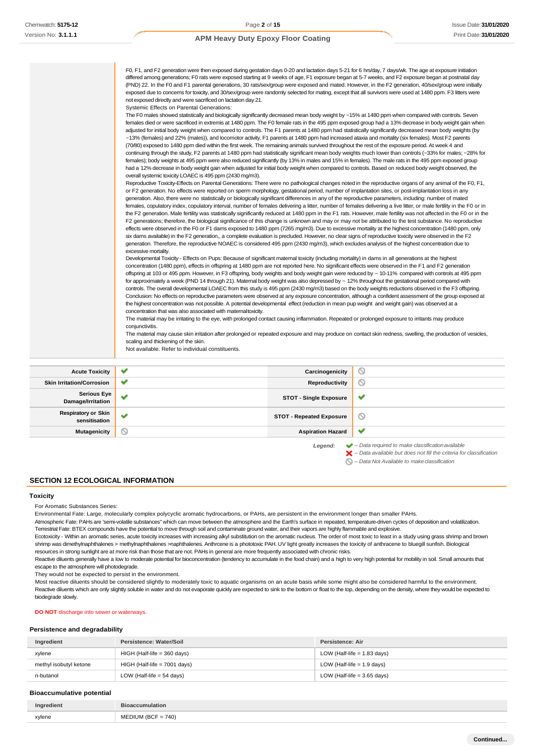| females); body weights at 495 ppm were also reduced significantly (by 13% in males and 15% in females). The male rats in the 495 ppm exposed group<br>had a 12% decrease in body weight gain when adjusted for initial body weight when compared to controls. Based on reduced body weight observed, the<br>overall systemic toxicity LOAEC is 495 ppm (2430 mg/m3).<br>Reproductive Toxicity-Effects on Parental Generations: There were no pathological changes noted in the reproductive organs of any animal of the F0, F1,<br>or F2 generation. No effects were reported on sperm morphology, gestational period, number of implantation sites, or post-implantation loss in any<br>generation. Also, there were no statistically or biologically significant differences in any of the reproductive parameters, including: number of mated<br>females, copulatory index, copulatory interval, number of females delivering a litter, number of females delivering a live litter, or male fertility in the F0 or in<br>the F2 generation. Male fertility was statistically significantly reduced at 1480 ppm in the F1 rats. However, male fertility was not affected in the F0 or in the<br>F2 generations; therefore, the biological significance of this change is unknown and may or may not be attributed to the test substance. No reproductive<br>effects were observed in the F0 or F1 dams exposed to 1480 ppm (7265 mg/m3). Due to excessive mortality at the highest concentration (1480 ppm, only<br>six dams available) in the F2 generation,, a complete evaluation is precluded. However, no clear signs of reproductive toxicity were observed in the F2<br>generation. Therefore, the reproductive NOAEC is considered 495 ppm (2430 mg/m3), which excludes analysis of the highest concentration due to<br>excessive mortality.<br>Developmental Toxicity - Effects on Pups: Because of significant matemal toxicity (including mortality) in dams in all generations at the highest<br>concentration (1480 ppm), effects in offspring at 1480 ppm are not reported here. No significant effects were observed in the F1 and F2 generation<br>offspring at 103 or 495 ppm. However, in F3 offspring, body weights and body weight gain were reduced by ~ 10-11% compared with controls at 495 ppm<br>for approximately a week (PND 14 through 21). Maternal body weight was also depressed by $\sim$ 12% throughout the gestational period compared with<br>controls. The overall developmental LOAEC from this study is 495 ppm (2430 mg/m3) based on the body weights reductions observed in the F3 offspring.<br>Conclusion: No effects on reproductive parameters were observed at any exposure concentration, although a confident assessment of the group exposed at<br>the highest concentration was not possible. A potential developmental effect (reduction in mean pup weight and weight gain) was observed at a<br>concentration that was also associated with maternal toxicity.<br>The material may be irritating to the eye, with prolonged contact causing inflammation. Repeated or prolonged exposure to irritants may produce<br>conjunctivitis.<br>The material may cause skin irritation after prolonged or repeated exposure and may produce on contact skin redness, swelling, the production of vesicles,<br>scaling and thickening of the skin.<br>Not available. Refer to individual constituents. |                                                                                                                                                       |
|-----------------------------------------------------------------------------------------------------------------------------------------------------------------------------------------------------------------------------------------------------------------------------------------------------------------------------------------------------------------------------------------------------------------------------------------------------------------------------------------------------------------------------------------------------------------------------------------------------------------------------------------------------------------------------------------------------------------------------------------------------------------------------------------------------------------------------------------------------------------------------------------------------------------------------------------------------------------------------------------------------------------------------------------------------------------------------------------------------------------------------------------------------------------------------------------------------------------------------------------------------------------------------------------------------------------------------------------------------------------------------------------------------------------------------------------------------------------------------------------------------------------------------------------------------------------------------------------------------------------------------------------------------------------------------------------------------------------------------------------------------------------------------------------------------------------------------------------------------------------------------------------------------------------------------------------------------------------------------------------------------------------------------------------------------------------------------------------------------------------------------------------------------------------------------------------------------------------------------------------------------------------------------------------------------------------------------------------------------------------------------------------------------------------------------------------------------------------------------------------------------------------------------------------------------------------------------------------------------------------------------------------------------------------------------------------------------------------------------------------------------------------------------------------------------------------------------------------------------------------------------------------------------------------------------------------------------------------------------------------------------------------------------------------------------------------------------------------------------------------------------------------------------------------------------------------------------------------------------------------------------------------------------------------------------------------------------------------------------------------------------------------------------------------------------------------------------|-------------------------------------------------------------------------------------------------------------------------------------------------------|
| exposed due to concerns for toxicity, and 30/sex/group were randomly selected for mating, except that all survivors were used at 1480 ppm. F3 litters were<br>not exposed directly and were sacrificed on lactation day 21.<br>Systemic Effects on Parental Generations:<br>The F0 males showed statistically and biologically significantly decreased mean body weight by ~15% at 1480 ppm when compared with controls. Seven<br>females died or were sacrificed in extremis at 1480 ppm. The F0 female rats in the 495 ppm exposed group had a 13% decrease in body weight gain when<br>adjusted for initial body weight when compared to controls. The F1 parents at 1480 ppm had statistically significantly decreased mean body weights (by<br>~13% (females) and 22% (males)), and locomotor activity. F1 parents at 1480 ppm had increased ataxia and mortality (six females). Most F2 parents<br>(70/80) exposed to 1480 ppm died within the first week. The remaining animals survived throughout the rest of the exposure period. At week 4 and<br>continuing through the study, F2 parents at 1480 ppm had statistically significant mean body weights much lower than controls (~33% for males; ~28% for                                                                                                                                                                                                                                                                                                                                                                                                                                                                                                                                                                                                                                                                                                                                                                                                                                                                                                                                                                                                                                                                                                                                                                                                                                                                                                                                                                                                                                                                                                                                                                                                                                                                                                                                                                                                                                                                                                                                                                                                                                                                                                                                                                                                                                | (PND) 22. In the F0 and F1 parental generations, 30 rats/sex/group were exposed and mated. However, in the F2 generation, 40/sex/group were initially |



*– Data available but does not fill the criteria for classification*

*– Data Not Available to makeclassification*  $\varnothing$ 

**SECTION 12 ECOLOGICAL INFORMATION**

## **Toxicity**

For Aromatic Substances Series:

Environmental Fate: Large, molecularly complex polycyclic aromatic hydrocarbons, or PAHs, are persistent in the environment longer than smaller PAHs.

Atmospheric Fate: PAHs are 'semi-volatile substances" which can move between the atmosphere and the Earth's surface in repeated, temperature-driven cycles of deposition and volatilization. Terrestrial Fate: BTEX compounds have the potential to move through soil and contaminate ground water, and their vapors are highly flammable and explosive.

Ecotoxicity - Within an aromatic series, acute toxicity increases with increasing alkyl substitution on the aromatic nucleus. The order of most toxic to least in a study using grass shrimp and brown shrimp was dimethylnaphthalenes > methylnaphthalenes >naphthalenes. Anthrcene is a phototoxic PAH. UV light greatly increases the toxicity of anthracene to bluegill sunfish. Biological resources in strong sunlight are at more risk than those that are not. PAHs in general are more frequently associated with chronic risks.

Reactive diluents generally have a low to moderate potential for bioconcentration (tendency to accumulate in the food chain) and a high to very high potential for mobility in soil. Small amounts that escape to the atmosphere will photodegrade.

They would not be expected to persist in the environment.

Most reactive diluents should be considered slightly to moderately toxic to aquatic organisms on an acute basis while some might also be considered harmful to the environment. Reactive diluents which are only slightly soluble in water and do not evaporate quickly are expected to sink to the bottom or float to the top, depending on the density, where they would be expected to biodegrade slowly.

**DO NOT** discharge into sewer or waterways.

#### **Persistence and degradability**

| Ingredient             | Persistence: Water/Soil        | Persistence: Air              |
|------------------------|--------------------------------|-------------------------------|
| xylene                 | $HIGH$ (Half-life = 360 days)  | LOW (Half-life $= 1.83$ days) |
| methyl isobutyl ketone | $HIGH$ (Half-life = 7001 days) | LOW (Half-life $= 1.9$ days)  |
| n-butanol              | LOW (Half-life $=$ 54 days)    | LOW (Half-life $=$ 3.65 days) |

#### **Bioaccumulative potential**

| Ingredient | <b>Pumulation</b>           |
|------------|-----------------------------|
| xylene     | $= 740$<br>$\sim$<br>$\sim$ |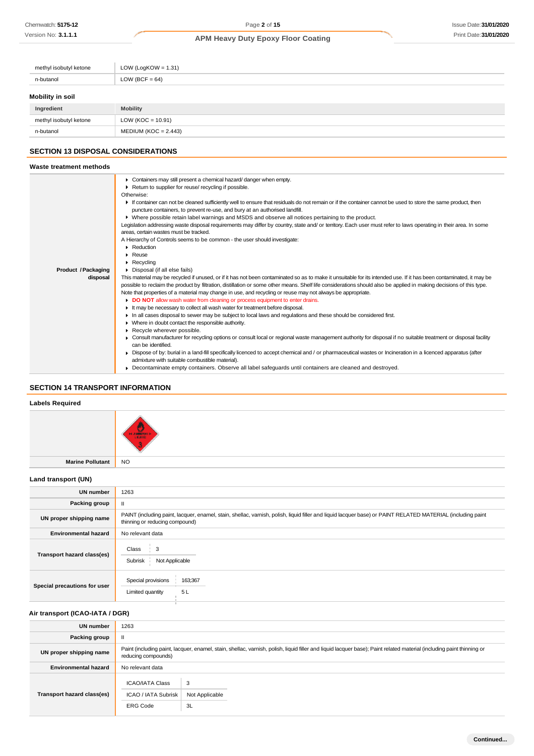| methyl isobutyl ketone | LOW (LogKOW = $1.31$ ) |
|------------------------|------------------------|
| n-butanol              | LOW (BCF = $64$ )      |
| Mobility in soil       |                        |
| Ingredient             | <b>Mobility</b>        |
| methyl isobutyl ketone | $LOW (KOC = 10.91)$    |

## **SECTION 13 DISPOSAL CONSIDERATIONS**

n-butanol MEDIUM (KOC = 2.443)

## **Waste treatment methods**

| Product / Packaging<br>disposal | Containers may still present a chemical hazard/ danger when empty.<br>٠<br>Return to supplier for reuse/ recycling if possible.<br>Otherwise:<br>If container can not be cleaned sufficiently well to ensure that residuals do not remain or if the container cannot be used to store the same product, then<br>puncture containers, to prevent re-use, and bury at an authorised landfill.<br>▶ Where possible retain label warnings and MSDS and observe all notices pertaining to the product.<br>Legislation addressing waste disposal requirements may differ by country, state and/ or territory. Each user must refer to laws operating in their area. In some<br>areas, certain wastes must be tracked.<br>A Hierarchy of Controls seems to be common - the user should investigate:<br>Reduction<br>$\blacktriangleright$ Reuse<br>$\blacktriangleright$ Recycling<br>Disposal (if all else fails)<br>This material may be recycled if unused, or if it has not been contaminated so as to make it unsuitable for its intended use. If it has been contaminated, it may be<br>possible to reclaim the product by filtration, distillation or some other means. Shelf life considerations should also be applied in making decisions of this type.<br>Note that properties of a material may change in use, and recycling or reuse may not always be appropriate.<br>DO NOT allow wash water from cleaning or process equipment to enter drains.<br>It may be necessary to collect all wash water for treatment before disposal.<br>In all cases disposal to sewer may be subject to local laws and regulations and these should be considered first. |
|---------------------------------|---------------------------------------------------------------------------------------------------------------------------------------------------------------------------------------------------------------------------------------------------------------------------------------------------------------------------------------------------------------------------------------------------------------------------------------------------------------------------------------------------------------------------------------------------------------------------------------------------------------------------------------------------------------------------------------------------------------------------------------------------------------------------------------------------------------------------------------------------------------------------------------------------------------------------------------------------------------------------------------------------------------------------------------------------------------------------------------------------------------------------------------------------------------------------------------------------------------------------------------------------------------------------------------------------------------------------------------------------------------------------------------------------------------------------------------------------------------------------------------------------------------------------------------------------------------------------------------------------------------------------------------------------------------|
|                                 |                                                                                                                                                                                                                                                                                                                                                                                                                                                                                                                                                                                                                                                                                                                                                                                                                                                                                                                                                                                                                                                                                                                                                                                                                                                                                                                                                                                                                                                                                                                                                                                                                                                               |
|                                 |                                                                                                                                                                                                                                                                                                                                                                                                                                                                                                                                                                                                                                                                                                                                                                                                                                                                                                                                                                                                                                                                                                                                                                                                                                                                                                                                                                                                                                                                                                                                                                                                                                                               |
|                                 |                                                                                                                                                                                                                                                                                                                                                                                                                                                                                                                                                                                                                                                                                                                                                                                                                                                                                                                                                                                                                                                                                                                                                                                                                                                                                                                                                                                                                                                                                                                                                                                                                                                               |
|                                 |                                                                                                                                                                                                                                                                                                                                                                                                                                                                                                                                                                                                                                                                                                                                                                                                                                                                                                                                                                                                                                                                                                                                                                                                                                                                                                                                                                                                                                                                                                                                                                                                                                                               |
|                                 | • Where in doubt contact the responsible authority.                                                                                                                                                                                                                                                                                                                                                                                                                                                                                                                                                                                                                                                                                                                                                                                                                                                                                                                                                                                                                                                                                                                                                                                                                                                                                                                                                                                                                                                                                                                                                                                                           |
|                                 | Recycle wherever possible.                                                                                                                                                                                                                                                                                                                                                                                                                                                                                                                                                                                                                                                                                                                                                                                                                                                                                                                                                                                                                                                                                                                                                                                                                                                                                                                                                                                                                                                                                                                                                                                                                                    |
|                                 | • Consult manufacturer for recycling options or consult local or regional waste management authority for disposal if no suitable treatment or disposal facility<br>can be identified.                                                                                                                                                                                                                                                                                                                                                                                                                                                                                                                                                                                                                                                                                                                                                                                                                                                                                                                                                                                                                                                                                                                                                                                                                                                                                                                                                                                                                                                                         |
|                                 | Dispose of by: burial in a land-fill specifically licenced to accept chemical and / or pharmaceutical wastes or Incineration in a licenced apparatus (after<br>admixture with suitable combustible material).                                                                                                                                                                                                                                                                                                                                                                                                                                                                                                                                                                                                                                                                                                                                                                                                                                                                                                                                                                                                                                                                                                                                                                                                                                                                                                                                                                                                                                                 |
|                                 | • Decontaminate empty containers. Observe all label safeguards until containers are cleaned and destroyed.                                                                                                                                                                                                                                                                                                                                                                                                                                                                                                                                                                                                                                                                                                                                                                                                                                                                                                                                                                                                                                                                                                                                                                                                                                                                                                                                                                                                                                                                                                                                                    |

## **SECTION 14 TRANSPORT INFORMATION**

## **Labels Required**



**Marine Pollutant** NO

#### **Land transport (UN)**

| <b>UN number</b>             | 1263                                                                                                                                                                                          |
|------------------------------|-----------------------------------------------------------------------------------------------------------------------------------------------------------------------------------------------|
| Packing group                | $\mathbf{H}$                                                                                                                                                                                  |
| UN proper shipping name      | PAINT (including paint, lacquer, enamel, stain, shellac, varnish, polish, liquid filler and liquid lacquer base) or PAINT RELATED MATERIAL (including paint<br>thinning or reducing compound) |
| <b>Environmental hazard</b>  | No relevant data                                                                                                                                                                              |
| Transport hazard class(es)   | Class<br>3<br>Subrisk<br>Not Applicable                                                                                                                                                       |
| Special precautions for user | Special provisions<br>163;367<br>5L<br>Limited quantity                                                                                                                                       |

## **Air transport (ICAO-IATA / DGR)**

| UN number                   | 1263                                                             |                                                                                                                                                                       |
|-----------------------------|------------------------------------------------------------------|-----------------------------------------------------------------------------------------------------------------------------------------------------------------------|
| Packing group               | Ш                                                                |                                                                                                                                                                       |
| UN proper shipping name     | reducing compounds)                                              | Paint (including paint, lacquer, enamel, stain, shellac, varnish, polish, liquid filler and liquid lacquer base); Paint related material (including paint thinning or |
| <b>Environmental hazard</b> | No relevant data                                                 |                                                                                                                                                                       |
| Transport hazard class(es)  | <b>ICAO/IATA Class</b><br>ICAO / IATA Subrisk<br><b>ERG Code</b> | 3<br>Not Applicable<br>3L                                                                                                                                             |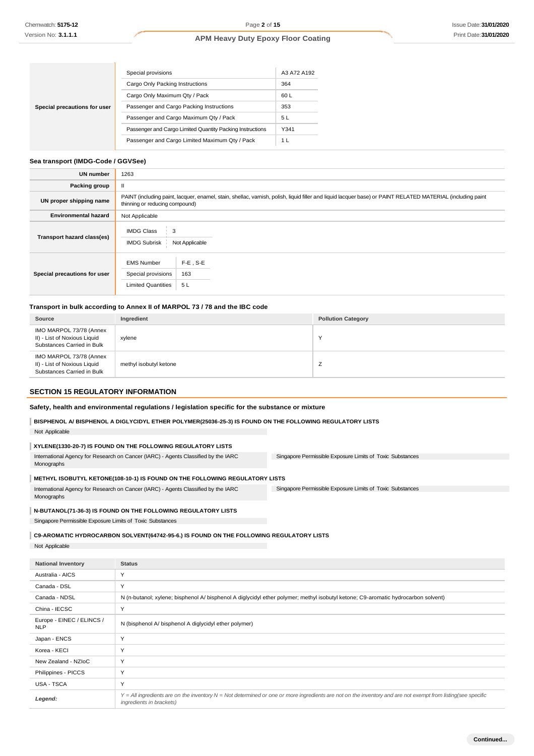|                              | Special provisions                                        | A3 A72 A192 |
|------------------------------|-----------------------------------------------------------|-------------|
|                              | Cargo Only Packing Instructions                           | 364         |
|                              | Cargo Only Maximum Qty / Pack                             | 60 L        |
| Special precautions for user | Passenger and Cargo Packing Instructions                  | 353         |
|                              | Passenger and Cargo Maximum Qty / Pack                    | 5 L         |
|                              | Passenger and Cargo Limited Quantity Packing Instructions | Y341        |
|                              | Passenger and Cargo Limited Maximum Qty / Pack            | 1 L         |

#### **Sea transport (IMDG-Code / GGVSee)**

| <b>UN number</b>             | 1263                                                                                                                                                                                          |                          |  |  |
|------------------------------|-----------------------------------------------------------------------------------------------------------------------------------------------------------------------------------------------|--------------------------|--|--|
| Packing group                | $\mathbf{I}$                                                                                                                                                                                  |                          |  |  |
| UN proper shipping name      | PAINT (including paint, lacquer, enamel, stain, shellac, varnish, polish, liquid filler and liquid lacquer base) or PAINT RELATED MATERIAL (including paint<br>thinning or reducing compound) |                          |  |  |
| <b>Environmental hazard</b>  | Not Applicable                                                                                                                                                                                |                          |  |  |
| Transport hazard class(es)   | <b>IMDG Class</b><br>3<br><b>IMDG Subrisk</b>                                                                                                                                                 | Not Applicable           |  |  |
| Special precautions for user | <b>EMS Number</b><br>Special provisions<br><b>Limited Quantities</b>                                                                                                                          | $F-E$ , S-E<br>163<br>5L |  |  |

#### **Transport in bulk according to Annex II of MARPOL 73 / 78 and the IBC code**

| Source                                                                                | Ingredient             | <b>Pollution Category</b> |
|---------------------------------------------------------------------------------------|------------------------|---------------------------|
| IMO MARPOL 73/78 (Annex<br>II) - List of Noxious Liquid<br>Substances Carried in Bulk | xylene                 | $\sqrt{}$                 |
| IMO MARPOL 73/78 (Annex<br>II) - List of Noxious Liquid<br>Substances Carried in Bulk | methyl isobutyl ketone | <u>_</u>                  |

### **SECTION 15 REGULATORY INFORMATION**

| Safety, health and environmental regulations / legislation specific for the substance or mixture |  |  |  |  |  |  |  |  |
|--------------------------------------------------------------------------------------------------|--|--|--|--|--|--|--|--|
|--------------------------------------------------------------------------------------------------|--|--|--|--|--|--|--|--|

#### **BISPHENOL A/ BISPHENOL A DIGLYCIDYL ETHER POLYMER(25036-25-3) IS FOUND ON THE FOLLOWING REGULATORY LISTS**

Not Applicable

## **XYLENE(1330-20-7) IS FOUND ON THE FOLLOWING REGULATORY LISTS**

| International Agency for Research on Cancer (IARC) - Agents Classified by the IARC | Singapore Permissible Exposure Limits of Toxic Substances |
|------------------------------------------------------------------------------------|-----------------------------------------------------------|
| Monographs                                                                         |                                                           |

#### **METHYL ISOBUTYL KETONE(108-10-1) IS FOUND ON THE FOLLOWING REGULATORY LISTS**

Singapore Permissible Exposure Limits of Toxic Substances International Agency for Research on Cancer (IARC) - Agents Classified by the IARC Monographs

#### **N-BUTANOL(71-36-3) IS FOUND ON THE FOLLOWING REGULATORY LISTS**

Singapore Permissible Exposure Limits of Toxic Substances

#### **C9-AROMATIC HYDROCARBON SOLVENT(64742-95-6.) IS FOUND ON THE FOLLOWING REGULATORY LISTS**

Not Applicable

| <b>National Inventory</b>               | <b>Status</b>                                                                                                                                                                                       |
|-----------------------------------------|-----------------------------------------------------------------------------------------------------------------------------------------------------------------------------------------------------|
| Australia - AICS                        | Y                                                                                                                                                                                                   |
| Canada - DSL                            | Y                                                                                                                                                                                                   |
| Canada - NDSL                           | N (n-butanol; xylene; bisphenol A/ bisphenol A diglycidyl ether polymer; methyl isobutyl ketone; C9-aromatic hydrocarbon solvent)                                                                   |
| China - IECSC                           | Y                                                                                                                                                                                                   |
| Europe - EINEC / ELINCS /<br><b>NLP</b> | N (bisphenol A/ bisphenol A diglycidyl ether polymer)                                                                                                                                               |
| Japan - ENCS                            | Y                                                                                                                                                                                                   |
| Korea - KECI                            | Y                                                                                                                                                                                                   |
| New Zealand - NZIoC                     | Y                                                                                                                                                                                                   |
| Philippines - PICCS                     | Y                                                                                                                                                                                                   |
| USA - TSCA                              | Y                                                                                                                                                                                                   |
| Legend:                                 | $Y = All$ ingredients are on the inventory $N = Not$ determined or one or more ingredients are not on the inventory and are not exempt from listing(see specific<br><i>ingredients in brackets)</i> |